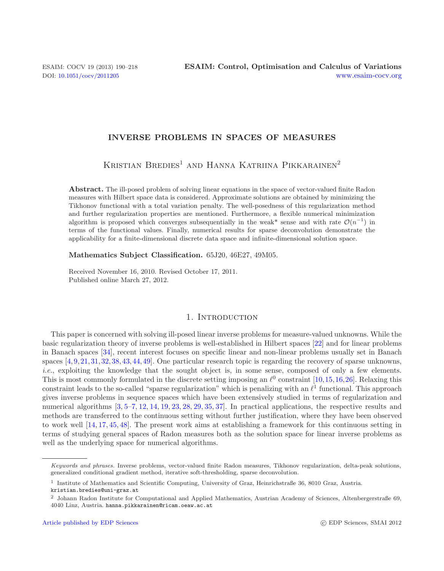## **INVERSE PROBLEMS IN SPACES OF MEASURES**

KRISTIAN BREDIES<sup>1</sup> AND HANNA KATRIINA PIKKARAINEN<sup>2</sup>

**Abstract.** The ill-posed problem of solving linear equations in the space of vector-valued finite Radon measures with Hilbert space data is considered. Approximate solutions are obtained by minimizing the Tikhonov functional with a total variation penalty. The well-posedness of this regularization method and further regularization properties are mentioned. Furthermore, a flexible numerical minimization algorithm is proposed which converges subsequentially in the weak<sup>\*</sup> sense and with rate  $\mathcal{O}(n^{-1})$  in terms of the functional values. Finally, numerical results for sparse deconvolution demonstrate the applicability for a finite-dimensional discrete data space and infinite-dimensional solution space.

**Mathematics Subject Classification.** 65J20, 46E27, 49M05.

Received November 16, 2010. Revised October 17, 2011. Published online March 27, 2012.

## 1. INTRODUCTION

This paper is concerned with solving ill-posed linear inverse problems for measure-valued unknowns. While the basic regularization theory of inverse problems is well-established in Hilbert spaces [\[22\]](#page-27-0) and for linear problems in Banach spaces [\[34](#page-27-1)], recent interest focuses on specific linear and non-linear problems usually set in Banach spaces [\[4,](#page-26-0)[9,](#page-27-2)[21,](#page-27-3)[31,](#page-27-4)[32,](#page-27-5)[38,](#page-27-6)[43,](#page-27-7)[44,](#page-28-0)[49\]](#page-28-1). One particular research topic is regarding the recovery of sparse unknowns, *i.e.*, exploiting the knowledge that the sought object is, in some sense, composed of only a few elements. This is most commonly formulated in the discrete setting imposing an  $\ell^0$  constraint [\[10](#page-27-8)[,15,](#page-27-9)[16,](#page-27-10)[26](#page-27-11)]. Relaxing this constraint leads to the so-called "sparse regularization" which is penalizing with an  $\ell^1$  functional. This approach gives inverse problems in sequence spaces which have been extensively studied in terms of regularization and numerical algorithms  $[3, 5-7, 12, 14, 19, 23, 28, 29, 35, 37]$  $[3, 5-7, 12, 14, 19, 23, 28, 29, 35, 37]$  $[3, 5-7, 12, 14, 19, 23, 28, 29, 35, 37]$  $[3, 5-7, 12, 14, 19, 23, 28, 29, 35, 37]$  $[3, 5-7, 12, 14, 19, 23, 28, 29, 35, 37]$  $[3, 5-7, 12, 14, 19, 23, 28, 29, 35, 37]$  $[3, 5-7, 12, 14, 19, 23, 28, 29, 35, 37]$  $[3, 5-7, 12, 14, 19, 23, 28, 29, 35, 37]$  $[3, 5-7, 12, 14, 19, 23, 28, 29, 35, 37]$  $[3, 5-7, 12, 14, 19, 23, 28, 29, 35, 37]$  $[3, 5-7, 12, 14, 19, 23, 28, 29, 35, 37]$  $[3, 5-7, 12, 14, 19, 23, 28, 29, 35, 37]$  $[3, 5-7, 12, 14, 19, 23, 28, 29, 35, 37]$  $[3, 5-7, 12, 14, 19, 23, 28, 29, 35, 37]$  $[3, 5-7, 12, 14, 19, 23, 28, 29, 35, 37]$  $[3, 5-7, 12, 14, 19, 23, 28, 29, 35, 37]$  $[3, 5-7, 12, 14, 19, 23, 28, 29, 35, 37]$  $[3, 5-7, 12, 14, 19, 23, 28, 29, 35, 37]$  $[3, 5-7, 12, 14, 19, 23, 28, 29, 35, 37]$  $[3, 5-7, 12, 14, 19, 23, 28, 29, 35, 37]$ . In practical applications, the respective results and methods are transferred to the continuous setting without further justification, where they have been observed to work well [\[14,](#page-27-15) [17](#page-27-22), [45,](#page-28-2) [48\]](#page-28-3). The present work aims at establishing a framework for this continuous setting in terms of studying general spaces of Radon measures both as the solution space for linear inverse problems as well as the underlying space for numerical algorithms.

Keywords and phrases. Inverse problems, vector-valued finite Radon measures, Tikhonov regularization, delta-peak solutions, generalized conditional gradient method, iterative soft-thresholding, sparse deconvolution.

<sup>1</sup> Institute of Mathematics and Scientific Computing, University of Graz, Heinrichstraße 36, 8010 Graz, Austria. kristian.bredies@uni-graz.at

<sup>2</sup> Johann Radon Institute for Computational and Applied Mathematics, Austrian Academy of Sciences, Altenbergerstraße 69, 4040 Linz, Austria. hanna.pikkarainen@ricam.oeaw.ac.at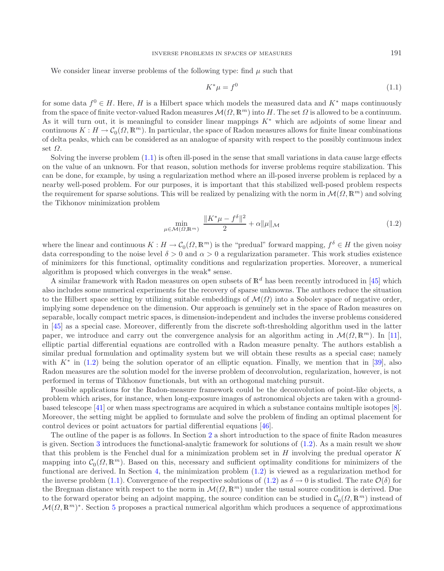<span id="page-1-1"></span>We consider linear inverse problems of the following type: find  $\mu$  such that

<span id="page-1-0"></span>
$$
K^*\mu = f^0 \tag{1.1}
$$

for some data  $f^0 \in H$ . Here, H is a Hilbert space which models the measured data and K<sup>\*</sup> maps continuously from the space of finite vector-valued Radon measures  $\mathcal{M}(\Omega, \mathbb{R}^m)$  into H. The set  $\Omega$  is allowed to be a continuum. As it will turn out, it is meaningful to consider linear mappings  $K^*$  which are adjoints of some linear and continuous  $K : H \to C_0(\Omega, \mathbb{R}^m)$ . In particular, the space of Radon measures allows for finite linear combinations of delta peaks, which can be considered as an analogue of sparsity with respect to the possibly continuou of delta peaks, which can be considered as an analogue of sparsity with respect to the possibly continuous index set  $\Omega$ .

Solving the inverse problem [\(1.1\)](#page-1-0) is often ill-posed in the sense that small variations in data cause large effects on the value of an unknown. For that reason, solution methods for inverse problems require stabilization. This can be done, for example, by using a regularization method where an ill-posed inverse problem is replaced by a nearby well-posed problem. For our purposes, it is important that this stabilized well-posed problem respects the requirement for sparse solutions. This will be realized by penalizing with the norm in  $\mathcal{M}(\Omega,\mathbb{R}^m)$  and solving the Tikhonov minimization problem

$$
\min_{\mu \in \mathcal{M}(\Omega, \mathbb{R}^m)} \frac{\|K^*\mu - f^\delta\|^2}{2} + \alpha \|\mu\|_{\mathcal{M}} \tag{1.2}
$$

where the linear and continuous  $K : H \to C_0(\Omega, \mathbb{R}^m)$  is the "predual" forward mapping,  $f^{\delta} \in H$  the given noisy data corresponding to the noise level  $\delta > 0$  and  $\alpha > 0$  a regularization parameter. This work studies existence of minimizers for this functional, optimality conditions and regularization properties. Moreover, a numerical algorithm is proposed which converges in the weak\* sense.

A similar framework with Radon measures on open subsets of  $\mathbb{R}^d$  has been recently introduced in [\[45\]](#page-28-2) which also includes some numerical experiments for the recovery of sparse unknowns. The authors reduce the situation to the Hilbert space setting by utilizing suitable embeddings of  $\mathcal{M}(\Omega)$  into a Sobolev space of negative order, implying some dependence on the dimension. Our approach is genuinely set in the space of Radon measures on separable, locally compact metric spaces, is dimension-independent and includes the inverse problems considered in [\[45\]](#page-28-2) as a special case. Moreover, differently from the discrete soft-thresholding algorithm used in the latter paper, we introduce and carry out the convergence analysis for an algorithm acting in  $\mathcal{M}(\Omega, \mathbb{R}^m)$ . In [\[11](#page-27-23)], elliptic partial differential equations are controlled with a Radon measure penalty. The authors establish a similar predual formulation and optimality system but we will obtain these results as a special case; namely with  $K^*$  in [\(1.2\)](#page-1-1) being the solution operator of an elliptic equation. Finally, we mention that in [\[39\]](#page-27-24), also Radon measures are the solution model for the inverse problem of deconvolution, regularization, however, is not performed in terms of Tikhonov functionals, but with an orthogonal matching pursuit.

Possible applications for the Radon-measure framework could be the deconvolution of point-like objects, a problem which arises, for instance, when long-exposure images of astronomical objects are taken with a groundbased telescope [\[41](#page-27-25)] or when mass spectrograms are acquired in which a substance contains multiple isotopes [\[8](#page-27-26)]. Moreover, the setting might be applied to formulate and solve the problem of finding an optimal placement for control devices or point actuators for partial differential equations [\[46\]](#page-28-4).

The outline of the paper is as follows. In Section [2](#page-2-0) a short introduction to the space of finite Radon measures is given. Section [3](#page-3-0) introduces the functional-analytic framework for solutions of [\(1.2\)](#page-1-1). As a main result we show that this problem is the Fenchel dual for a minimization problem set in  $H$  involving the predual operator  $K$ mapping into  $C_0(\Omega, \mathbb{R}^m)$ . Based on this, necessary and sufficient optimality conditions for minimizers of the functional are derived. In Section [4,](#page-8-0) the minimization problem [\(1.2\)](#page-1-1) is viewed as a regularization method for the inverse problem [\(1.1\)](#page-1-0). Convergence of the respective solutions of [\(1.2\)](#page-1-1) as  $\delta \to 0$  is studied. The rate  $\mathcal{O}(\delta)$  for the Bregman distance with respect to the norm in  $\mathcal{M}(\Omega,\mathbb{R}^m)$  under the usual source condition is derived. Due to the forward operator being an adjoint mapping, the source condition can be studied in  $C_0(\Omega, \mathbb{R}^m)$  instead of  $\mathcal{M}(\Omega,\mathbb{R}^m)^*$ . Section [5](#page-11-0) proposes a practical numerical algorithm which produces a sequence of approximations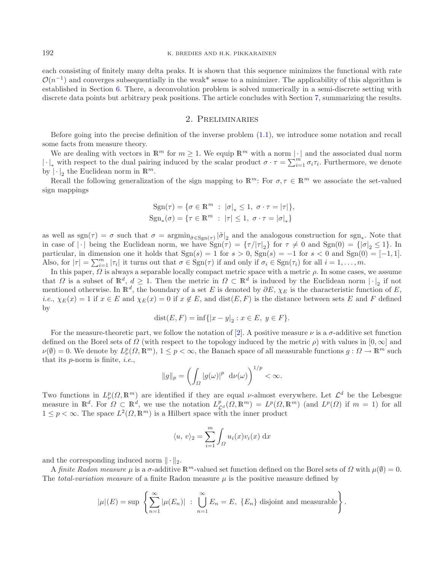each consisting of finitely many delta peaks. It is shown that this sequence minimizes the functional with rate  $\mathcal{O}(n^{-1})$  and converges subsequentially in the weak\* sense to a minimizer. The applicability of this algorithm is established in Section [6.](#page-21-0) There, a deconvolution problem is solved numerically in a semi-discrete setting with discrete data points but arbitrary peak positions. The article concludes with Section [7,](#page-25-0) summarizing the results.

## 2. Preliminaries

<span id="page-2-0"></span>Before going into the precise definition of the inverse problem [\(1.1\)](#page-1-0), we introduce some notation and recall some facts from measure theory.

We are dealing with vectors in  $\mathbb{R}^m$  for  $m \geq 1$ . We equip  $\mathbb{R}^m$  with a norm  $|\cdot|$  and the associated dual norm |⋅|<sub>∗</sub> with respect to the dual pairing induced by the scalar product  $\sigma \cdot \tau = \sum_{i=1}^{m'} \sigma_i \tau_i$ . Furthermore, we denote by  $|\cdot|_2$  the Euclidean norm in  $\mathbb{R}^m$ .<br>
Recall the following generalization

Recall the following generalization of the sign mapping to  $\mathbb{R}^m$ : For  $\sigma, \tau \in \mathbb{R}^m$  we associate the set-valued sign mappings

$$
Sgn(\tau) = \{ \sigma \in \mathbb{R}^m : |\sigma|_* \le 1, \ \sigma \cdot \tau = |\tau| \},
$$
  

$$
Sgn_*(\sigma) = \{ \tau \in \mathbb{R}^m : |\tau| \le 1, \ \sigma \cdot \tau = |\sigma|_* \}
$$

as well as sgn( $\tau$ ) =  $\sigma$  such that  $\sigma = \operatorname{argmin}_{\tilde{\sigma} \in \text{Sgn}(\tau)} |\tilde{\sigma}|_2$  and the analogous construction for sgn<sub>\*</sub>. Note that in case of  $|\cdot|$  being the Euclidean norm, we have  $\text{Sgn}(\tau) = {\{\tau/|\tau|_2\}}$  for  $\tau \neq 0$  and  $\text{Sgn}(0) = {\{|\sigma|_2 \leq 1\}}$ . In<br>particular, in dimension one it holds that  $\text{Sgn}(s) = 1$  for  $s > 0$ ,  $\text{Sgn}(s) = -1$  for  $s < 0$  and particular, in dimension one it holds that  $Sgn(s) = 1$  for  $s > 0$ ,  $Sgn(s) = -1$  for  $s < 0$  and  $Sgn(0) = [-1, 1]$ . Also, for  $|\tau| = \sum_{i=1}^{m} |\tau_i|$  it turns out that  $\sigma \in \text{Sgn}(\tau)$  if and only if  $\sigma_i \in \text{Sgn}(\tau_i)$  for all  $i = 1, \ldots, m$ .

In this paper,  $\Omega$  is always a separable locally compact metric space with a metric  $\rho$ . In some cases, we assume that  $\Omega$  is a subset of  $\mathbb{R}^d$ ,  $d \geq 1$ . Then the metric in  $\Omega \subset \mathbb{R}^d$  is induced by the Euclidean norm  $|\cdot|_2$  if not<br>mentioned otherwise. In  $\mathbb{R}^d$  the boundary of a set E is denoted by  $\partial E$ ,  $\chi_D$  is the mentioned otherwise. In  $\mathbb{R}^d$ , the boundary of a set E is denoted by  $\partial E$ ,  $\chi_E$  is the characteristic function of E. *i.e.*,  $\chi_E(x) = 1$  if  $x \in E$  and  $\chi_E(x) = 0$  if  $x \notin E$ , and  $dist(E, F)$  is the distance between sets E and F defined by

$$
dist(E, F) = inf{ |x - y|_2 : x \in E, y \in F }.
$$

For the measure-theoretic part, we follow the notation of [\[2](#page-26-2)]. A positive measure  $\nu$  is a  $\sigma$ -additive set function defined on the Borel sets of  $\Omega$  (with respect to the topology induced by the metric  $\rho$ ) with values in  $[0, \infty]$  and  $\nu(\emptyset) = 0$ . We denote by  $L^p_\nu(\Omega, \mathbb{R}^m)$ ,  $1 \leq p < \infty$ , the Banach space of all measurable functions  $g: \Omega \to \mathbb{R}^m$  such that its p-norm is finite, *i.e.*,

$$
||g||_p = \left(\int_{\Omega} |g(\omega)|^p \mathrm{d}\nu(\omega)\right)^{1/p} < \infty.
$$

Two functions in  $L^p_\nu(\Omega,\mathbb{R}^m)$  are identified if they are equal v-almost everywhere. Let  $\mathcal{L}^d$  be the Lebesgue measure in  $\mathbb{R}^d$ . For  $\Omega \subset \mathbb{R}^d$ , we use the notation  $L_{\mathcal{L}^d}^p(\Omega, \mathbb{R}^m) = L^p(\Omega, \mathbb{R}^m)$  (and  $L^p(\Omega)$  if  $m = 1$ ) for all  $1 \leq p < \infty$ . The space  $L^2(\Omega, \mathbb{R}^m)$  is a Hilbert space with the inner product

$$
\langle u, v \rangle_2 = \sum_{i=1}^m \int_{\Omega} u_i(x) v_i(x) \, \mathrm{d}x
$$

and the corresponding induced norm  $\|\cdot\|_2$ .

A *finite Radon measure*  $\mu$  is a  $\sigma$ -additive  $\mathbb{R}^m$ -valued set function defined on the Borel sets of  $\Omega$  with  $\mu(\emptyset) = 0$ . The *total-variation measure* of a finite Radon measure μ is the positive measure defined by

$$
|\mu|(E) = \sup \left\{ \sum_{n=1}^{\infty} |\mu(E_n)| \ : \ \bigcup_{n=1}^{\infty} E_n = E, \ \{E_n\} \ \text{disjoint and measurable} \right\}.
$$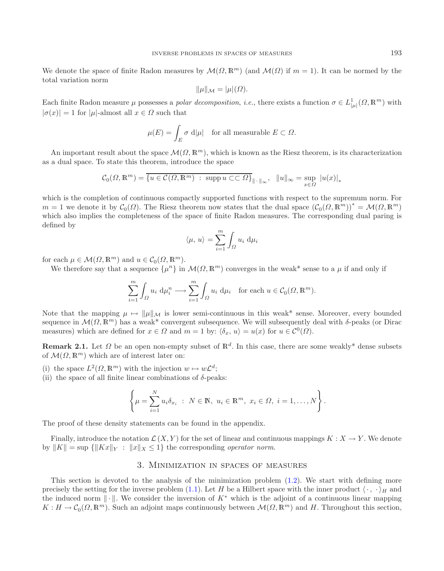We denote the space of finite Radon measures by  $\mathcal{M}(\Omega, \mathbb{R}^m)$  (and  $\mathcal{M}(\Omega)$  if  $m = 1$ ). It can be normed by the total variation norm

$$
\|\mu\|_{\mathcal{M}} = |\mu|(\Omega).
$$

Each finite Radon measure  $\mu$  possesses a *polar decomposition*, *i.e.*, there exists a function  $\sigma \in L^1_{|\mu|}(\Omega, \mathbb{R}^m)$  with  $|\sigma(x)| = 1$  for  $|\mu|$ -almost all  $x \in \Omega$  such that

$$
\mu(E) = \int_E \sigma \, d|\mu| \quad \text{for all measurable } E \subset \Omega.
$$

An important result about the space  $\mathcal{M}(\Omega,\mathbb{R}^m)$ , which is known as the Riesz theorem, is its characterization as a dual space. To state this theorem, introduce the space

$$
\mathcal{C}_0(\Omega, \mathbb{R}^m) = \overline{\{u \in \mathcal{C}(\Omega, \mathbb{R}^m) \; : \; \text{supp } u \subset\subset \Omega\}}_{\|\cdot\|_{\infty}}, \quad \|u\|_{\infty} = \sup_{x \in \Omega} |u(x)|_*
$$

which is the completion of continuous compactly supported functions with respect to the supremum norm. For  $m = 1$  we denote it by  $\mathcal{C}_0(\Omega)$ . The Riesz theorem now states that the dual space  $(\mathcal{C}_0(\Omega,\mathbb{R}^m))^* = \mathcal{M}(\Omega,\mathbb{R}^m)$ which also implies the completeness of the space of finite Radon measures. The corresponding dual paring is defined by

$$
\langle \mu, u \rangle = \sum_{i=1}^{m} \int_{\Omega} u_i \, d\mu_i
$$

for each  $\mu \in \mathcal{M}(\Omega, \mathbb{R}^m)$  and  $u \in \mathcal{C}_0(\Omega, \mathbb{R}^m)$ .

We therefore say that a sequence  $\{\mu^n\}$  in  $\mathcal{M}(\Omega,\mathbb{R}^m)$  converges in the weak\* sense to a  $\mu$  if and only if

$$
\sum_{i=1}^{m} \int_{\Omega} u_i \, \mathrm{d} \mu_i^n \longrightarrow \sum_{i=1}^{m} \int_{\Omega} u_i \, \mathrm{d} \mu_i \quad \text{for each } u \in \mathcal{C}_0(\Omega, \mathbb{R}^m).
$$

Note that the mapping  $\mu \mapsto ||\mu||_{\mathcal{M}}$  is lower semi-continuous in this weak\* sense. Moreover, every bounded sequence in  $\mathcal{M}(\Omega,\mathbb{R}^m)$  has a weak\* convergent subsequence. We will subsequently deal with  $\delta$ -peaks (or Dirac measures) which are defined for  $x \in \Omega$  and  $m = 1$  by:  $\langle \delta_x, u \rangle = u(x)$  for  $u \in C^0(\Omega)$ .

<span id="page-3-1"></span>**Remark 2.1.** Let  $\Omega$  be an open non-empty subset of  $\mathbb{R}^d$ . In this case, there are some weakly\* dense subsets of  $\mathcal{M}(\Omega,\mathbb{R}^m)$  which are of interest later on:

- (i) the space  $L^2(\Omega, \mathbb{R}^m)$  with the injection  $w \mapsto w\mathcal{L}^d$ ;
- (ii) the space of all finite linear combinations of  $\delta$ -peaks:

$$
\left\{\mu = \sum_{i=1}^{N} u_i \delta_{x_i} : N \in \mathbb{N}, u_i \in \mathbb{R}^m, x_i \in \Omega, i = 1, ..., N\right\}.
$$

The proof of these density statements can be found in the appendix.

<span id="page-3-0"></span>Finally, introduce the notation  $\mathcal{L}(X, Y)$  for the set of linear and continuous mappings  $K : X \to Y$ . We denote by  $||K|| = \sup \{||Kx||_Y : ||x||_X \leq 1\}$  the corresponding *operator norm*.

## 3. Minimization in spaces of measures

This section is devoted to the analysis of the minimization problem  $(1.2)$ . We start with defining more precisely the setting for the inverse problem [\(1.1\)](#page-1-0). Let H be a Hilbert space with the inner product  $\langle \cdot, \cdot \rangle_H$  and the induced norm  $\|\cdot\|$ . We consider the inversion of  $K^*$  which is the adjoint of a continuous linear mapping  $K: H \to C_0(\Omega, \mathbb{R}^m)$ . Such an adjoint maps continuously between  $\mathcal{M}(\Omega, \mathbb{R}^m)$  and H. Throughout this section,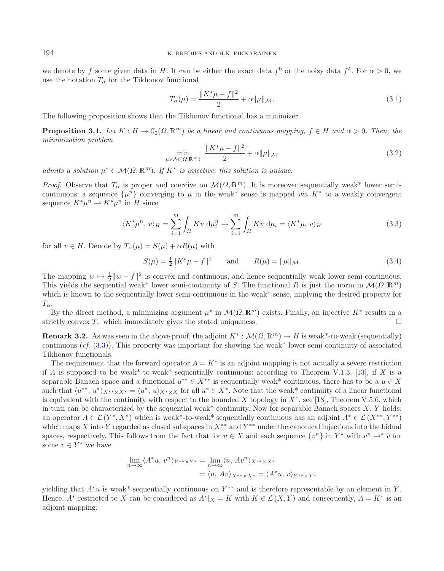we denote by f some given data in H. It can be either the exact data  $f^0$  or the noisy data  $f^{\delta}$ . For  $\alpha > 0$ , we use the notation  $T_{\alpha}$  for the Tikhonov functional

<span id="page-4-4"></span><span id="page-4-0"></span>
$$
T_{\alpha}(\mu) = \frac{\|K^*\mu - f\|^2}{2} + \alpha \|\mu\|_{\mathcal{M}}.
$$
\n(3.1)

<span id="page-4-2"></span>The following proposition shows that the Tikhonov functional has a minimizer.

**Proposition 3.1.** *Let*  $K : H \to C_0(\Omega, \mathbb{R}^m)$  *be a linear and continuous mapping,*  $f \in H$  *and*  $\alpha > 0$ *. Then, the minimization problem*

<span id="page-4-3"></span>
$$
\min_{\mu \in \mathcal{M}(\Omega, \mathbb{R}^m)} \frac{\|K^*\mu - f\|^2}{2} + \alpha \|\mu\|_{\mathcal{M}} \tag{3.2}
$$

*admits a solution*  $\mu^* \in \mathcal{M}(\Omega, \mathbb{R}^m)$ . If  $K^*$  *is injective, this solution is unique.* 

*Proof.* Observe that  $T_{\alpha}$  is proper and coercive on  $\mathcal{M}(\Omega, \mathbb{R}^m)$ . It is moreover sequentially weak\* lower semicontinuous: a sequence  $\{\mu^n\}$  converging to  $\mu$  in the weak<sup>\*</sup> sense is mapped *via* K<sup>\*</sup> to a weakly convergent sequence  $K^*\mu^n \rightharpoonup K^*\mu^n$  in H since

$$
\langle K^*\mu^n, v\rangle_H = \sum_{i=1}^m \int_{\Omega} Kv \, \mathrm{d}\mu_i^n \to \sum_{i=1}^m \int_{\Omega} Kv \, \mathrm{d}\mu_i = \langle K^*\mu, v\rangle_H \tag{3.3}
$$

for all  $v \in H$ . Denote by  $T_{\alpha}(\mu) = S(\mu) + \alpha R(\mu)$  with

$$
S(\mu) = \frac{1}{2} \|K^*\mu - f\|^2 \quad \text{and} \quad R(\mu) = \|\mu\|_{\mathcal{M}}.
$$
 (3.4)

The mapping  $w \mapsto \frac{1}{2} \|w - f\|^2$  is convex and continuous, and hence sequentially weak lower semi-continuous.<br>This vields the sequential weak\* lower semi-continuity of S. The functional B is just the norm in  $\mathcal{M}(Q, \mathbb{$ This yields the sequential weak\* lower semi-continuity of S. The functional R is just the norm in  $\mathcal{M}(\Omega,\mathbb{R}^m)$ which is known to the sequentially lower semi-continuous in the weak\* sense, implying the desired property for  $T_{\alpha}$ .

By the direct method, a minimizing argument  $\mu^*$  in  $\mathcal{M}(\Omega,\mathbb{R}^m)$  exists. Finally, an injective  $K^*$  results in a strictly convex  $T_{\alpha}$  which immediately gives the stated uniqueness.  $\Box$ 

**Remark 3.2.** As was seen in the above proof, the adjoint  $K^*: \mathcal{M}(\Omega, \mathbb{R}^m) \to H$  is weak\*-to-weak (sequentially) continuous (*cf.* [\(3.3\)](#page-4-0)). This property was important for showing the weak\* lower semi-continuity of associated Tikhonov functionals.

The requirement that the forward operator  $A = K^*$  is an adjoint mapping is not actually a severe restriction if A is supposed to be weak\*-to-weak\* sequentially continuous: according to Theorem V.1.3. [\[13](#page-27-27)], if X is a separable Banach space and a functional  $u^{**} \in X^{**}$  is sequentially weak\* continuous, there has to be a  $u \in X$ such that  $\langle u^{**}, u^* \rangle_{X^{**} \times X^*} = \langle u^*, u \rangle_{X^* \times X}$  for all  $u^* \in X^*$ . Note that the weak\* continuity of a linear functional is equivalent with the continuity with respect to the bounded X topology in  $X^*$ , see [\[18\]](#page-27-28), Theorem V.5.6, which in turn can be characterized by the sequential weak\* continuity. Now for separable Banach spaces  $X, Y$  holds: an operator  $A \in \mathcal{L}(Y^*, X^*)$  which is weak\*-to-weak\* sequentially continuous has an adjoint  $A^* \in \mathcal{L}(X^{**}, Y^{**})$ which maps X into Y regarded as closed subspaces in  $X^{**}$  and  $Y^{**}$  under the canonical injections into the bidual spaces, respectively. This follows from the fact that for  $u \in X$  and each sequence  $\{v^n\}$  in  $Y^*$  with  $v^n \rightharpoonup^* v$  for some  $v \in Y^*$  we have

$$
\lim_{n \to \infty} \langle A^* u, v^n \rangle_{Y^{**} \times Y^*} = \lim_{n \to \infty} \langle u, Av^n \rangle_{X^{**} \times X^*}
$$

$$
= \langle u, Av \rangle_{X^{**} \times X^*} = \langle A^* u, v \rangle_{Y^{**} \times Y^*}
$$

yielding that  $A^*u$  is weak\* sequentially continuous on Y<sup>\*\*</sup> and is therefore representable by an element in Y. Hence,  $A^*$  restricted to X can be considered as  $A^*|_X = K$  with  $K \in \mathcal{L}(X, Y)$  and consequently,  $A = K^*$  is an adjoint mapping.

<span id="page-4-1"></span>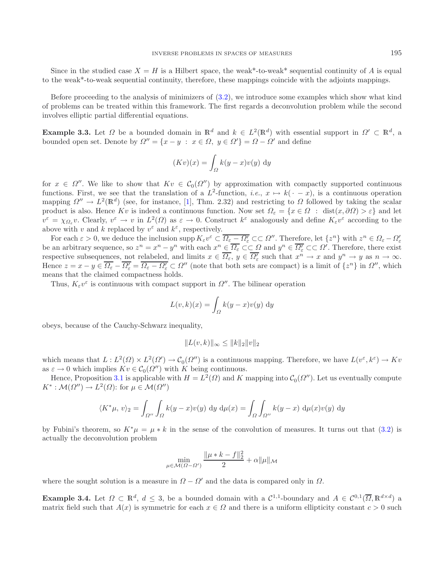Since in the studied case  $X = H$  is a Hilbert space, the weak\*-to-weak\* sequential continuity of A is equal to the weak\*-to-weak sequential continuity, therefore, these mappings coincide with the adjoints mappings.

Before proceeding to the analysis of minimizers of [\(3.2\)](#page-4-1), we introduce some examples which show what kind of problems can be treated within this framework. The first regards a deconvolution problem while the second involves elliptic partial differential equations.

<span id="page-5-1"></span>**Example 3.3.** Let  $\Omega$  be a bounded domain in  $\mathbb{R}^d$  and  $k \in L^2(\mathbb{R}^d)$  with essential support in  $\Omega' \subset \mathbb{R}^d$ , a bounded open set. Denote by  $\Omega'' = \{x - y : x \in \Omega, y \in \Omega'\} = \Omega - \Omega'$  and define

$$
(Kv)(x) = \int_{\Omega} k(y - x)v(y) \, dy
$$

for  $x \in \Omega''$ . We like to show that  $Kv \in C_0(\Omega'')$  by approximation with compactly supported continuous functions. First, we see that the translation of a  $L^2$ -function, *i.e.*,  $x \mapsto k(\cdot - x)$ , is a continuous operation mapping  $\Omega'' \to L^2(\mathbb{R}^d)$  (see, for instance, [\[1](#page-26-3)], Thm. 2.32) and restricting to  $\Omega$  followed by taking the scalar product is also. Hence Kv is indeed a continuous function. Now set  $\Omega_{\varepsilon} = \{x \in \Omega : \text{dist}(x, \partial \Omega) > \varepsilon\}$  and let  $v^{\varepsilon} = \chi_{\Omega_{\varepsilon}} v$ . Clearly,  $v^{\varepsilon} \to v$  in  $L^2(\Omega)$  as  $\varepsilon \to 0$ . Construct  $k^{\varepsilon}$  analogously and define  $K_{\varepsilon} v^{\varepsilon}$  according to the above with v and k replaced by  $v^{\varepsilon}$  and  $k^{\varepsilon}$ , respectively.

For each  $\varepsilon > 0$ , we deduce the inclusion supp  $K_{\varepsilon}v^{\varepsilon} \subset \overline{\Omega_{\varepsilon} - \Omega_{\varepsilon}' } \subset \overline{\Omega''}$ . Therefore, let  $\{z^n\}$  with  $z^n \in \Omega_{\varepsilon} - \Omega_{\varepsilon}'$ be an arbitrary sequence, so  $z^n = x^n - y^n$  with each  $x^n \in \overline{\Omega_{\varepsilon}} \subset\subset \Omega$  and  $y^n \in \overline{\Omega_{\varepsilon}} \subset\subset \Omega'$ . Therefore, there exist respective subsequences, not relabeled, and limits  $x \in \overline{\Omega_{\varepsilon}}$ ,  $y \in \overline{\Omega_{\varepsilon}}$  such that  $x^n \to x$  and  $y^n \to y$  as  $n \to \infty$ . Hence  $z = x - y \in \overline{\Omega_{\varepsilon}} - \overline{\Omega_{\varepsilon}} = \overline{\Omega_{\varepsilon} - \Omega_{\varepsilon}'} \subset \Omega''$  (note that both sets are compact) is a limit of  $\{z^n\}$  in  $\Omega''$ , which means that the claimed compactness holds.

Thus,  $K_{\varepsilon}v^{\varepsilon}$  is continuous with compact support in  $\Omega''$ . The bilinear operation

$$
L(v,k)(x) = \int_{\Omega} k(y-x)v(y) \, dy
$$

obeys, because of the Cauchy-Schwarz inequality,

$$
||L(v,k)||_{\infty} \leq ||k||_2 ||v||_2
$$

which means that  $L : L^2(\Omega) \times L^2(\Omega') \to C_0(\Omega'')$  is a continuous mapping. Therefore, we have  $L(v^{\varepsilon}, k^{\varepsilon}) \to Kv$ as  $\varepsilon \to 0$  which implies  $Kv \in \mathcal{C}_0(\Omega'')$  with K being continuous.

Hence, Proposition [3.1](#page-4-2) is applicable with  $H = L^2(\Omega)$  and K mapping into  $\mathcal{C}_0(\Omega'')$ . Let us eventually compute  $K^* : \mathcal{M}(\Omega'') \to L^2(\Omega)$ : for  $\mu \in \mathcal{M}(\Omega'')$ 

$$
\langle K^*\mu, v\rangle_2 = \int_{\Omega''} \int_{\Omega} k(y-x)v(y) \, dy \, d\mu(x) = \int_{\Omega} \int_{\Omega''} k(y-x) \, d\mu(x)v(y) \, dy
$$

by Fubini's theorem, so  $K^*\mu = \mu * k$  in the sense of the convolution of measures. It turns out that [\(3.2\)](#page-4-1) is actually the deconvolution problem

$$
\min_{\mu \in \mathcal{M}(\Omega - \Omega')} \frac{\|\mu * k - f\|_2^2}{2} + \alpha \|\mu\|_{\mathcal{M}}
$$

where the sought solution is a measure in  $\Omega - \Omega'$  and the data is compared only in  $\Omega$ .

<span id="page-5-0"></span>**Example 3.4.** Let  $\Omega \subset \mathbb{R}^d$ ,  $d \leq 3$ , be a bounded domain with a  $\mathcal{C}^{1,1}$ -boundary and  $A \in \mathcal{C}^{0,1}(\overline{\Omega}, \mathbb{R}^{d \times d})$  a matrix field such that  $A(x)$  is symmetric for each  $x \in \Omega$  and there is a uniform ellipticity constant  $c > 0$  such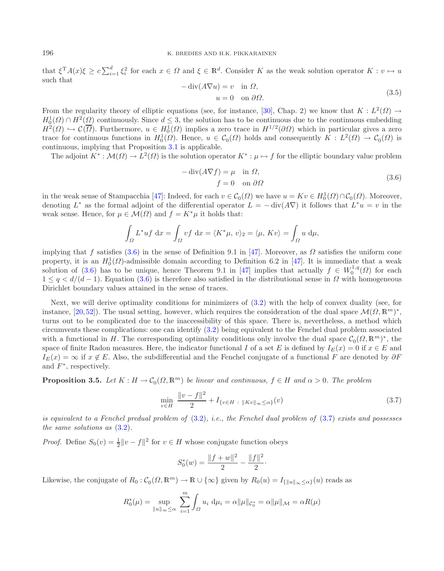that  $\xi^T A(x) \xi \geq c \sum_{i=1}^d \xi_i^2$  for each  $x \in \Omega$  and  $\xi \in \mathbb{R}^d$ . Consider K as the weak solution operator  $K : v \mapsto u$ <br>such that such that  $-\operatorname{div}(A\nabla u) = v \text{ in } \Omega,$ 

$$
\operatorname{div}(A\nabla u) = v \quad \text{in } \Omega,
$$
  
 
$$
u = 0 \quad \text{on } \partial\Omega.
$$
 (3.5)

From the regularity theory of elliptic equations (see, for instance, [\[30\]](#page-27-29), Chap. 2) we know that  $K : L^2(\Omega) \to$  $H_0^1(\Omega) \cap H^2(\Omega)$  continuously. Since  $d \leq 3$ , the solution has to be continuous due to the continuous embedding  $H^{2}(\Omega) \hookrightarrow \mathcal{C}(\overline{\Omega})$ . Eurthermore,  $u \in H^{1}(\Omega)$  implies a zero trace in  $H^{1/2}(\partial \Omega)$  which in particu  $H^2(\Omega) \hookrightarrow \mathcal{C}(\overline{\Omega})$ . Furthermore,  $u \in H_0^1(\Omega)$  implies a zero trace in  $H^{1/2}(\partial \Omega)$  which in particular gives a zero trace for continuous functions in  $H^1(\Omega)$ . Hence,  $u \in \mathcal{C}(\Omega)$  holds and consequently  $K \cdot L^2(\Omega$ trace for continuous functions in  $H_0^1(\Omega)$ . Hence,  $u \in C_0(\Omega)$  holds and consequently  $K : L^2(\Omega) \to C_0(\Omega)$  is<br>continuous implying that Proposition 3.1 is applicable continuous, implying that Proposition [3.1](#page-4-2) is applicable.

The adjoint  $K^*: \mathcal{M}(\Omega) \to L^2(\Omega)$  is the solution operator  $K^*: \mu \mapsto f$  for the elliptic boundary value problem

<span id="page-6-1"></span>
$$
-\operatorname{div}(A\nabla f) = \mu \quad \text{in } \Omega,
$$
  

$$
f = 0 \quad \text{on } \partial\Omega
$$
 (3.6)

in the weak sense of Stampacchia [\[47](#page-28-5)]: Indeed, for each  $v \in \mathcal{C}_0(\Omega)$  we have  $u = Kv \in H_0^1(\Omega) \cap \mathcal{C}_0(\Omega)$ . Moreover,  $\Gamma$  and the differential energies  $\Gamma^* = -\text{div}(A\nabla)$  is follows that  $\Gamma^* u = v$  in the denoting  $L^*$  as the formal adjoint of the differential operator  $L = -\text{div}(A\nabla)$  it follows that  $L^*u = v$  in the weak sense. Hence, for  $\mu \in \mathcal{M}(\Omega)$  and  $f = K^* \mu$  it holds that:

$$
\int_{\Omega} L^* u f \, dx = \int_{\Omega} v f \, dx = \langle K^* \mu, v \rangle_2 = \langle \mu, K v \rangle = \int_{\Omega} u \, d\mu,
$$

implying that f satisfies [\(3.6\)](#page-6-0) in the sense of Definition 9.1 in [\[47](#page-28-5)]. Moreover, as  $\Omega$  satisfies the uniform cone property, it is an  $H_0^1(\Omega)$ -admissible domain according to Definition 6.2 in [\[47\]](#page-28-5). It is immediate that a weak<br>solution of (3.6) has to be unique hence Theorem 9.1 in [47] implies that actually  $f \in W^{1,q}(\Omega)$  for each solution of [\(3.6\)](#page-6-0) has to be unique, hence Theorem 9.1 in [\[47\]](#page-28-5) implies that actually  $f \in W_0^{1,q}(\Omega)$  for each  $1 \leq a \leq d/(d-1)$ . Equation (3.6) is therefore also satisfied in the distributional sense in Q with homogeneous  $1 \leq q \leq d/(d-1)$ . Equation [\(3.6\)](#page-6-0) is therefore also satisfied in the distributional sense in  $\Omega$  with homogeneous Dirichlet boundary values attained in the sense of traces.

Next, we will derive optimality conditions for minimizers of [\(3.2\)](#page-4-1) with the help of convex duality (see, for instance, [\[20](#page-27-30), [52](#page-28-6)]). The usual setting, however, which requires the consideration of the dual space  $\mathcal{M}(\Omega,\mathbb{R}^m)^*$ , turns out to be complicated due to the inaccessibility of this space. There is, nevertheless, a method which circumvents these complications: one can identify [\(3.2\)](#page-4-1) being equivalent to the Fenchel dual problem associated with a functional in H. The corresponding optimality conditions only involve the dual space  $\mathcal{C}_0(\Omega,\mathbb{R}^m)^*$ , the space of finite Radon measures. Here, the indicator functional I of a set E is defined by  $I_E(x) = 0$  if  $x \in E$  and  $I_E(x) = \infty$  if  $x \notin E$ . Also, the subdifferential and the Fenchel conjugate of a functional F are denoted by  $\partial F$ and  $F^*$ , respectively.

<span id="page-6-2"></span>**Proposition 3.5.** *Let*  $K : H \to C_0(\Omega, \mathbb{R}^m)$  *be linear and continuous,*  $f \in H$  *and*  $\alpha > 0$ *. The problem* 

$$
\min_{v \in H} \frac{\|v - f\|^2}{2} + I_{\{v \in H \ : \ \|Kv\|_{\infty} \le \alpha\}}(v)
$$
\n(3.7)

*is equivalent to a Fenchel predual problem of* [\(3.2\)](#page-4-1)*, i.e., the Fenchel dual problem of* [\(3.7\)](#page-6-1) *exists and possesses the same solutions as* [\(3.2\)](#page-4-1)*.*

*Proof.* Define  $S_0(v) = \frac{1}{2} ||v - f||^2$  for  $v \in H$  whose conjugate function obeys

$$
S_0^*(w) = \frac{\|f+w\|^2}{2} - \frac{\|f\|^2}{2}.
$$

Likewise, the conjugate of  $R_0: \mathcal{C}_0(\Omega, \mathbb{R}^m) \to \mathbb{R} \cup \{\infty\}$  given by  $R_0(u) = I_{\{\|u\|_\infty \leq \alpha\}}(u)$  reads as

$$
R_0^*(\mu) = \sup_{\|u\|_{\infty} \le \alpha} \sum_{i=1}^m \int_{\Omega} u_i \, \mathrm{d}\mu_i = \alpha \|\mu\|_{\mathcal{C}_0^*} = \alpha \|\mu\|_{\mathcal{M}} = \alpha R(\mu)
$$

<span id="page-6-0"></span>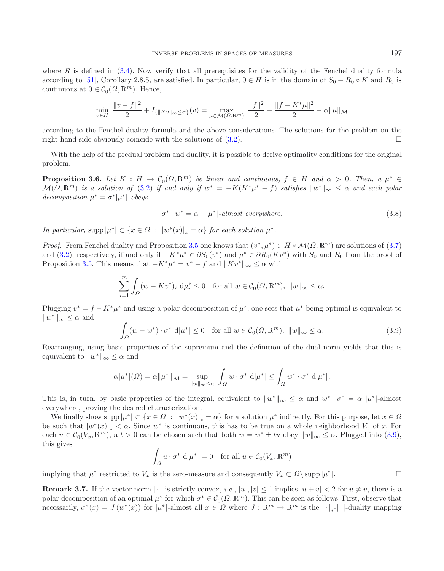where  $R$  is defined in  $(3.4)$ . Now verify that all prerequisites for the validity of the Fenchel duality formula according to [\[51\]](#page-28-7), Corollary 2.8.5, are satisfied. In particular,  $0 \in H$  is in the domain of  $S_0 + R_0 \circ K$  and  $R_0$  is continuous at  $0 \in C_0(\Omega, \mathbb{R}^m)$ . Hence,

<span id="page-7-1"></span>
$$
\min_{v \in H} \frac{\|v - f\|^2}{2} + I_{\{\|Kv\|_{\infty} \le \alpha\}}(v) = \max_{\mu \in \mathcal{M}(\Omega, \mathbb{R}^m)} \frac{\|f\|^2}{2} - \frac{\|f - K^* \mu\|^2}{2} - \alpha \|\mu\|_{\mathcal{M}}
$$

according to the Fenchel duality formula and the above considerations. The solutions for the problem on the right-hand side obviously coincide with the solutions of  $(3.2)$ .  $\Box$ 

With the help of the predual problem and duality, it is possible to derive optimality conditions for the original problem.

**Proposition 3.6.** *Let*  $K : H \to C_0(\Omega, \mathbb{R}^m)$  *be linear and continuous,*  $f \in H$  *and*  $\alpha > 0$ *. Then, a*  $\mu^* \in M(O, \mathbb{R}^m)$  *is a solution of*  $(3.2)$  *if and only if*  $w^* = -K(K^*w^* - f)$  *sotisfies*  $||w^*|| \leq \alpha$  *and*  $\mathcal{M}(\Omega, \mathbb{R}^m)$  *is a solution of* [\(3.2\)](#page-4-1) *if and only if*  $w^* = -K(K^*\mu^* - f)$  *satisfies*  $||w^*||_{\infty} \leq \alpha$  *and each polar decomposition*  $\mu^* = \sigma^* |\mu^*|$  *obeys* 

$$
\sigma^* \cdot w^* = \alpha \quad |\mu^*| \cdot almost \; everywhere. \tag{3.8}
$$

<span id="page-7-0"></span>*In particular,* supp  $|\mu^*| \subset \{x \in \Omega : |w^*(x)|_* = \alpha\}$  *for each solution*  $\mu^*$ *.* 

*Proof.* From Fenchel duality and Proposition [3.5](#page-6-2) one knows that  $(v^*, \mu^*) \in H \times \mathcal{M}(\Omega, \mathbb{R}^m)$  are solutions of [\(3.7\)](#page-6-1) and [\(3.2\)](#page-4-1), respectively, if and only if  $-K^*\mu^* \in \partial S_0(v^*)$  and  $\mu^* \in \partial R_0(Kv^*)$  with  $S_0$  and  $R_0$  from the proof of Proposition [3.5.](#page-6-2) This means that  $-K^*\mu^* = v^* - f$  and  $||Kv^*||_{\infty} \leq \alpha$  with

$$
\sum_{i=1}^{m} \int_{\Omega} (w - Kv^*)_i \, d\mu_i^* \le 0 \quad \text{for all } w \in \mathcal{C}_0(\Omega, \mathbb{R}^m), \ \|w\|_{\infty} \le \alpha.
$$

Plugging  $v^* = f - K^* \mu^*$  and using a polar decomposition of  $\mu^*$ , one sees that  $\mu^*$  being optimal is equivalent to  $||w^*||_{\infty} \leq \alpha$  and

$$
\int_{\Omega} (w - w^*) \cdot \sigma^* d|\mu^*| \le 0 \quad \text{for all } w \in \mathcal{C}_0(\Omega, \mathbb{R}^m), \ \|w\|_{\infty} \le \alpha.
$$
 (3.9)

Rearranging, using basic properties of the supremum and the definition of the dual norm yields that this is equivalent to  $||w^*||_{\infty} \leq \alpha$  and

$$
\alpha|\mu^*|(\Omega) = \alpha||\mu^*||_{\mathcal{M}} = \sup_{||w||_{\infty} \leq \alpha} \int_{\Omega} w \cdot \sigma^* d|\mu^*| \leq \int_{\Omega} w^* \cdot \sigma^* d|\mu^*|.
$$

This is, in turn, by basic properties of the integral, equivalent to  $||w^*||_{\infty} \leq \alpha$  and  $w^* \cdot \sigma^* = \alpha |\mu^*|$ -almost everywhere, proving the desired characterization.

We finally show supp  $|\mu^*| \subset \{x \in \Omega : |w^*(x)|_* = \alpha\}$  for a solution  $\mu^*$  indirectly. For this purpose, let  $x \in \Omega$ be such that  $|w^*(x)|_* < \alpha$ . Since  $w^*$  is continuous, this has to be true on a whole neighborhood  $V_x$  of x. For each  $u \in \mathcal{C}_0(V_x, \mathbb{R}^m)$ , a  $t > 0$  can be chosen such that both  $w = w^* \pm tu$  obey  $||w||_{\infty} \leq \alpha$ . Plugged into [\(3.9\)](#page-7-0), this gives

$$
\int_{\Omega} u \cdot \sigma^* d|\mu^*| = 0 \quad \text{for all } u \in C_0(V_x, \mathbb{R}^m)
$$

implying that  $\mu^*$  restricted to  $V_x$  is the zero-measure and consequently  $V_x \subset \Omega \setminus \text{supp } |\mu^*|$ .

**Remark 3.7.** If the vector norm  $|\cdot|$  is strictly convex, *i.e.*,  $|u|, |v| \le 1$  implies  $|u + v| < 2$  for  $u \ne v$ , there is a polar decomposition of an optimal  $\mu^*$  for which  $\sigma^* \in \mathcal{C}_0(\Omega, \mathbb{R}^m)$ . This can be seen as follows. First, observe that necessarily,  $\sigma^*(x) = J(w^*(x))$  for  $|\mu^*|$ -almost all  $x \in \Omega$  where  $J : \mathbb{R}^m \to \mathbb{R}^m$  is the  $|\cdot|_*$ - $|\cdot|$ -duality mapping

 $\Box$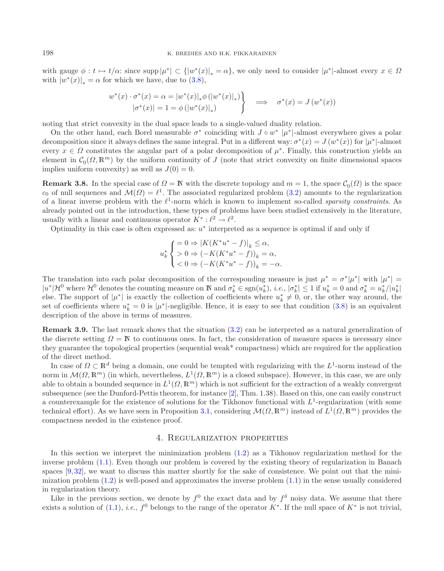with gauge  $\phi: t \mapsto t/\alpha$ : since supp  $|\mu^*| \subset (|w^*(x)|_* = \alpha\}$ , we only need to consider  $|\mu^*|$ -almost every  $x \in \Omega$ with  $|w^*(x)|_* = \alpha$  for which we have, due to [\(3.8\)](#page-7-1),

$$
w^*(x) \cdot \sigma^*(x) = \alpha = |w^*(x)|_* \phi (|w^*(x)|_*)
$$
  
\n
$$
|\sigma^*(x)| = 1 = \phi (|w^*(x)|_*)
$$
\n
$$
\implies \sigma^*(x) = J(w^*(x))
$$

noting that strict convexity in the dual space leads to a single-valued duality relation.

On the other hand, each Borel measurable  $\sigma^*$  coinciding with  $J \circ w^* |\mu^*|$ -almost everywhere gives a polar decomposition since it always defines the same integral. Put in a different way:  $\sigma^*(x) = J(w^*(x))$  for  $|\mu^*|$ -almost every  $x \in \Omega$  constitutes the angular part of a polar decomposition of  $\mu^*$ . Finally, this construction yields an element in  $C_0(\Omega, \mathbb{R}^m)$  by the uniform continuity of J (note that strict convexity on finite dimensional spaces implies uniform convexity) as well as  $I(0) = 0$ implies uniform convexity) as well as  $J(0) = 0$ .

**Remark 3.8.** In the special case of  $\Omega = \mathbb{N}$  with the discrete topology and  $m = 1$ , the space  $\mathcal{C}_0(\Omega)$  is the space<br>containing containing  $\mathcal{M}(\Omega) = \ell^1$ . The associated regularized problem  $(3, 2)$  amounts to th c<sub>0</sub> of null sequences and  $\mathcal{M}(\Omega) = \ell^1$ . The associated regularized problem [\(3.2\)](#page-4-1) amounts to the regularization<br>of a linear invaria problem with the  $\ell^1$  norm which is lyogy to implement as called exercity constrain of a linear inverse problem with the  $\ell^1$ -norm which is known to implement so-called *sparsity constraints*. As already pointed out in the introduction, these types of problems have been studied extensively in the literature, usually with a linear and continuous operator  $K^* : \ell^2 \to \ell^2$ .

Optimality in this case is often expressed as:  $u^*$  interpreted as a sequence is optimal if and only if

$$
u_k^* \begin{cases} = 0 \Rightarrow |K(K^*u^* - f)|_k \le \alpha, \\ > 0 \Rightarrow (-K(K^*u^* - f))_k = \alpha, \\ < 0 \Rightarrow (-K(K^*u^* - f))_k = -\alpha. \end{cases}
$$

The translation into each polar decomposition of the corresponding measure is just  $\mu^* = \sigma^*|\mu^*|$  with  $|\mu^*| =$  $|u^*| \mathcal{H}^0$  where  $\mathcal{H}^0$  denotes the counting measure on  $\mathbb N$  and  $\sigma_k^* \in \text{sgn}(u_k^*), i.e., |\sigma_k^*| \leq 1$  if  $u_k^* = 0$  and  $\sigma_k^* = u_k^* / |u_k^*|$ else. The support of  $|\mu^*|$  is exactly the collection of coefficients where  $u_k^* \neq 0$ , or, the other way around, the set of coefficients where  $u_k^* = 0$  is  $|\mu^*|$ -negligible. Hence, it is easy to see that condition  $(3.8)$  is an equivalent description of the above in terms of measures.

**Remark 3.9.** The last remark shows that the situation [\(3.2\)](#page-4-1) can be interpreted as a natural generalization of the discrete setting  $\Omega = \mathbb{N}$  to continuous ones. In fact, the consideration of measure spaces is necessary since they guarantee the topological properties (sequential weak\* compactness) which are required for the application of the direct method.

In case of  $\Omega \subset \mathbb{R}^d$  being a domain, one could be tempted with regularizing with the  $L^1$ -norm instead of the norm in  $\mathcal{M}(\Omega,\mathbb{R}^m)$  (in which, nevertheless,  $L^1(\Omega,\mathbb{R}^m)$  is a closed subspace). However, in this case, we are only able to obtain a bounded sequence in  $L^1(\Omega, \mathbb{R}^m)$  which is not sufficient for the extraction of a weakly convergent subsequence (see the Dunford-Pettis theorem, for instance [\[2\]](#page-26-2), Thm. 1.38). Based on this, one can easily construct a counterexample for the existence of solutions for the Tikhonov functional with  $L^1$ -regularization (with some technical effort). As we have seen in Proposition [3.1,](#page-4-2) considering  $\mathcal{M}(\Omega,\mathbb{R}^m)$  instead of  $L^1(\Omega,\mathbb{R}^m)$  provides the compactness needed in the existence proof.

## 4. Regularization properties

<span id="page-8-0"></span>In this section we interpret the minimization problem  $(1.2)$  as a Tikhonov regularization method for the inverse problem [\(1.1\)](#page-1-0). Even though our problem is covered by the existing theory of regularization in Banach spaces  $[9, 32]$  $[9, 32]$  $[9, 32]$ , we want to discuss this matter shortly for the sake of consistence. We point out that the minimization problem  $(1.2)$  is well-posed and approximates the inverse problem  $(1.1)$  in the sense usually considered in regularization theory.

Like in the previous section, we denote by  $f^0$  the exact data and by  $f^{\delta}$  noisy data. We assume that there exists a solution of [\(1.1\)](#page-1-0), *i.e.*,  $f^0$  belongs to the range of the operator K<sup>∗</sup>. If the null space of K<sup>∗</sup> is not trivial,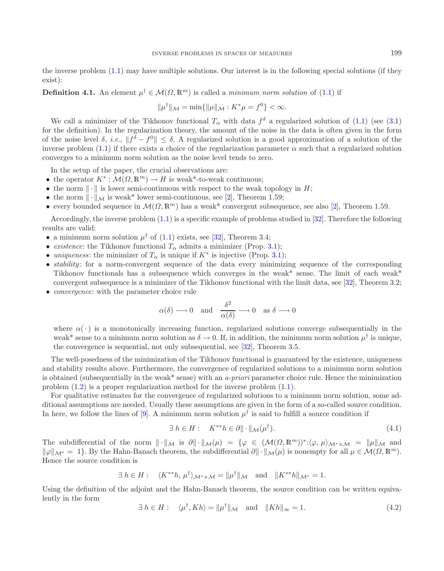the inverse problem [\(1.1\)](#page-1-0) may have multiple solutions. Our interest is in the following special solutions (if they exist):

**Definition 4.1.** An element  $\mu^{\dagger} \in \mathcal{M}(\Omega, \mathbb{R}^m)$  is called a *minimum norm solution* of [\(1.1\)](#page-1-0) if

$$
\|\mu^{\dagger}\|_{\mathcal{M}} = \min\{\|\mu\|_{\mathcal{M}} : K^*\mu = f^0\} < \infty.
$$

We call a minimizer of the Tikhonov functional  $T_{\alpha}$  with data  $f^{\delta}$  a regularized solution of [\(1.1\)](#page-1-0) (see [\(3.1\)](#page-4-4) for the definition). In the regularization theory, the amount of the noise in the data is often given in the form of the noise level  $\delta$ , *i.e.*,  $||f^{\delta} - f^0|| \leq \delta$ . A regularized solution is a good approximation of a solution of the inverse problem [\(1.1\)](#page-1-0) if there exists a choice of the regularization parameter  $\alpha$  such that a regularized solution converges to a minimum norm solution as the noise level tends to zero.

In the setup of the paper, the crucial observations are:

- the operator  $K^*: \mathcal{M}(\Omega, \mathbb{R}^m) \to H$  is weak\*-to-weak continuous;
- the norm  $\|\cdot\|$  is lower semi-continuous with respect to the weak topology in H;
- the norm  $\|\cdot\|_{\mathcal{M}}$  is weak\* lower semi-continuous, see [\[2](#page-26-2)], Theorem 1.59;
- every bounded sequence in  $\mathcal{M}(\Omega, \mathbb{R}^m)$  has a weak\* convergent subsequence, see also [\[2\]](#page-26-2), Theorem 1.59.

Accordingly, the inverse problem [\(1.1\)](#page-1-0) is a specific example of problems studied in [\[32\]](#page-27-5). Therefore the following results are valid:

- a minimum norm solution  $\mu^{\dagger}$  of [\(1.1\)](#page-1-0) exists, see [\[32\]](#page-27-5), Theorem 3.4;
- *existence*: the Tikhonov functional  $T_{\alpha}$  admits a minimizer (Prop. [3.1\)](#page-4-2);
- *uniqueness*: the minimizer of  $T_{\alpha}$  is unique if  $K^*$  is injective (Prop. [3.1\)](#page-4-2);
- *stability*: for a norm-convergent sequence of the data every minimizing sequence of the corresponding Tikhonov functionals has a subsequence which converges in the weak\* sense. The limit of each weak\* convergent subsequence is a minimizer of the Tikhonov functional with the limit data, see [\[32](#page-27-5)], Theorem 3.2;
- *convergence*: with the parameter choice rule

<span id="page-9-1"></span>
$$
\alpha(\delta) \longrightarrow 0 \text{ and } \frac{\delta^2}{\alpha(\delta)} \longrightarrow 0 \text{ as } \delta \longrightarrow 0
$$

where  $\alpha(\cdot)$  is a monotonically increasing function, regularized solutions converge subsequentially in the weak\* sense to a minimum norm solution as  $\delta \to 0$ . If, in addition, the minimum norm solution  $\mu^{\dagger}$  is unique, the convergence is sequential, not only subsequential, see [\[32](#page-27-5)], Theorem 3.5.

The well-posedness of the minimization of the Tikhonov functional is guaranteed by the existence, uniqueness and stability results above. Furthermore, the convergence of regularized solutions to a minimum norm solution is obtained (subsequentially in the weak\* sense) with an *a-priori* parameter choice rule. Hence the minimization problem [\(1.2\)](#page-1-1) is a proper regularization method for the inverse problem [\(1.1\)](#page-1-0).

<span id="page-9-0"></span>For qualitative estimates for the convergence of regularized solutions to a minimum norm solution, some additional assumptions are needed. Usually these assumptions are given in the form of a so-called source condition. In here, we follow the lines of [\[9](#page-27-2)]. A minimum norm solution  $\mu^{\dagger}$  is said to fulfill a source condition if

$$
\exists h \in H: \quad K^{**}h \in \partial \|\cdot\|_{\mathcal{M}}(\mu^{\dagger}).\tag{4.1}
$$

The subdifferential of the norm  $\|\cdot\|_{\mathcal{M}}$  is  $\partial\|\cdot\|_{\mathcal{M}}(\mu) = \{\varphi \in (\mathcal{M}(\Omega,\mathbb{R}^m))^*:\langle \varphi, \mu \rangle_{\mathcal{M}^*\times\mathcal{M}} = \|\mu\|_{\mathcal{M}}$  and  $\|\varphi\|_{\mathcal{M}^*} = 1$ . By the Hahn-Banach theorem, the subdifferential  $\partial \|\cdot\|_{\mathcal{M}}(\mu)$  is nonempty for all  $\mu \in \mathcal{M}(\Omega, \mathbb{R}^m)$ . Hence the source condition is

$$
\exists h \in H: \langle K^{**}h, \mu^{\dagger} \rangle_{\mathcal{M}^* \times \mathcal{M}} = ||\mu^{\dagger}||_{\mathcal{M}} \text{ and } ||K^{**}h||_{\mathcal{M}^*} = 1.
$$

Using the definition of the adjoint and the Hahn-Banach theorem, the source condition can be written equivalently in the form

$$
\exists h \in H: \quad \langle \mu^{\dagger}, Kh \rangle = ||\mu^{\dagger}||_{\mathcal{M}} \quad \text{and} \quad ||Kh||_{\infty} = 1. \tag{4.2}
$$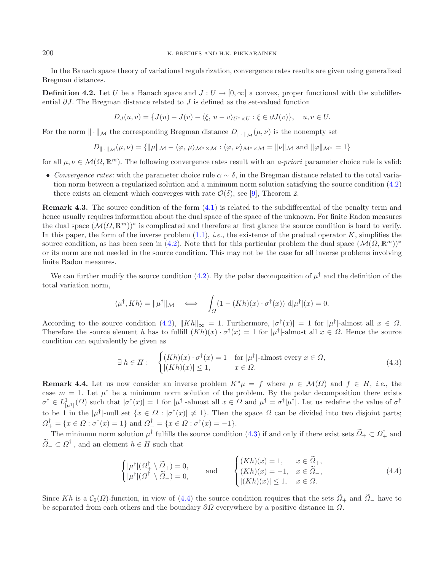In the Banach space theory of variational regularization, convergence rates results are given using generalized Bregman distances.

**Definition 4.2.** Let U be a Banach space and  $J: U \to [0, \infty]$  a convex, proper functional with the subdifferential  $\partial J$ . The Bregman distance related to J is defined as the set-valued function

$$
D_J(u, v) = \{J(u) - J(v) - \langle \xi, u - v \rangle_{U^* \times U} : \xi \in \partial J(v) \}, \quad u, v \in U.
$$

For the norm  $\|\cdot\|_{\mathcal{M}}$  the corresponding Bregman distance  $D_{\|\cdot\|_{\mathcal{M}}}(\mu, \nu)$  is the nonempty set

$$
D_{\|\cdot\|_{\mathcal{M}}}(\mu,\nu)=\{\|\mu\|_{\mathcal{M}}-\langle\varphi,\,\mu\rangle_{\mathcal{M}^*\times\mathcal{M}}:\langle\varphi,\,\nu\rangle_{\mathcal{M}^*\times\mathcal{M}}=\|\nu\|_{\mathcal{M}}\,\,\text{and}\,\,\|\varphi\|_{\mathcal{M}^*}=1\}
$$

for all  $\mu, \nu \in \mathcal{M}(\Omega, \mathbb{R}^m)$ . The following convergence rates result with an *a-priori* parameter choice rule is valid:

• *Convergence rates*: with the parameter choice rule  $\alpha \sim \delta$ , in the Bregman distance related to the total variation norm between a regularized solution and a minimum norm solution satisfying the source condition [\(4.2\)](#page-9-0) there exists an element which converges with rate  $\mathcal{O}(\delta)$ , see [\[9](#page-27-2)], Theorem 2.

**Remark 4.3.** The source condition of the form  $(4.1)$  is related to the subdifferential of the penalty term and hence usually requires information about the dual space of the space of the unknown. For finite Radon measures the dual space  $(\mathcal{M}(\Omega,\mathbb{R}^m))^*$  is complicated and therefore at first glance the source condition is hard to verify. In this paper, the form of the inverse problem  $(1.1)$ , *i.e.*, the existence of the predual operator K, simplifies the source condition, as has been seen in [\(4.2\)](#page-9-0). Note that for this particular problem the dual space  $(\mathcal{M}(\Omega, \mathbb{R}^m))^*$ or its norm are not needed in the source condition. This may not be the case for all inverse problems involving finite Radon measures.

We can further modify the source condition [\(4.2\)](#page-9-0). By the polar decomposition of  $\mu^{\dagger}$  and the definition of the total variation norm,

<span id="page-10-0"></span>
$$
\langle \mu^{\dagger}, K h \rangle = \| \mu^{\dagger} \|_{\mathcal{M}} \quad \Longleftrightarrow \quad \int_{\Omega} (1 - (Kh)(x) \cdot \sigma^{\dagger}(x)) \, \mathrm{d} | \mu^{\dagger} |(x) = 0.
$$

According to the source condition [\(4.2\)](#page-9-0),  $||Kh||_{\infty} = 1$ . Furthermore,  $|\sigma^{\dagger}(x)| = 1$  for  $|\mu^{\dagger}|$ -almost all  $x \in \Omega$ . Therefore the source element h has to fulfill  $(Kh)(x) \cdot \sigma^{\dagger}(x) = 1$  for  $|\mu^{\dagger}|$ -almost all  $x \in \Omega$ . Hence the source condition can equivalently be given as

<span id="page-10-1"></span>
$$
\exists h \in H: \quad \begin{cases} (Kh)(x) \cdot \sigma^{\dagger}(x) = 1 & \text{for } |\mu^{\dagger}| \text{-almost every } x \in \Omega, \\ |(Kh)(x)| \le 1, & x \in \Omega. \end{cases} \tag{4.3}
$$

<span id="page-10-2"></span>**Remark 4.4.** Let us now consider an inverse problem  $K^*\mu = f$  where  $\mu \in \mathcal{M}(\Omega)$  and  $f \in H$ , *i.e.*, the case  $m = 1$ . Let  $\mu^{\dagger}$  be a minimum norm solution of the problem. By the polar decomposition there exists  $\sigma^{\dagger} \in L^1_{|\mu^{\dagger}|}(\Omega)$  such that  $|\sigma^{\dagger}(x)| = 1$  for  $|\mu^{\dagger}|$ -almost all  $x \in \Omega$  and  $\mu^{\dagger} = \sigma^{\dagger}|\mu^{\dagger}|$ . Let us redefine the value of  $\sigma^{\dagger}$ to be 1 in the  $|\mu^{\dagger}|$ -null set  $\{x \in \Omega : |\sigma^{\dagger}(x)| \neq 1\}$ . Then the space  $\Omega$  can be divided into two disjoint parts;  $\Omega^{\dagger}_{+} = \{x \in \Omega : \sigma^{\dagger}(x) = 1\}$  and  $\Omega^{\dagger}_{-} = \{x \in \Omega : \sigma^{\dagger}(x) = -1\}.$ 

The minimum norm solution  $\mu^{\dagger}$  fulfills the source condition [\(4.3\)](#page-10-0) if and only if there exist sets  $\widetilde{\Omega}_{+} \subset \Omega_{+}^{\dagger}$  and  $\widetilde{\Omega}_- \subset \Omega_-^{\dagger}$ , and an element  $h \in H$  such that

$$
\begin{cases} |\mu^{\dagger}|(\Omega_{+}^{\dagger} \setminus \widetilde{\Omega}_{+}) = 0, \\ |\mu^{\dagger}|(\Omega_{-}^{\dagger} \setminus \widetilde{\Omega}_{-}) = 0, \end{cases} \text{ and } \begin{cases} (Kh)(x) = 1, & x \in \widetilde{\Omega}_{+}, \\ (Kh)(x) = -1, & x \in \widetilde{\Omega}_{-}, \\ |(Kh)(x)| \le 1, & x \in \Omega. \end{cases} \tag{4.4}
$$

Since Kh is a  $C_0(\Omega)$ -function, in view of [\(4.4\)](#page-10-1) the source condition requires that the sets  $\widetilde{Q}_+$  and  $\widetilde{Q}_-$  have to be separated from each others and the boundary  $\partial\Omega$  everywhere by a positive distance in  $\Omega$ .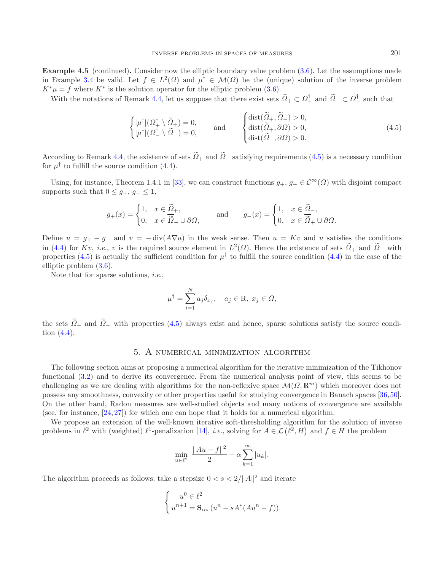**Example 4.5** (continued). Consider now the elliptic boundary value problem  $(3.6)$ . Let the assumptions made in Example [3.4](#page-5-0) be valid. Let  $f \in L^2(\Omega)$  and  $u^{\dagger} \in \mathcal{M}(\Omega)$  be the (unique) solution of the inverse problem  $K^* \mu = f$  where  $K^*$  is the solution operator for the elliptic problem [\(3.6\)](#page-6-0).

With the notations of Remark [4.4,](#page-10-2) let us suppose that there exist sets  $\widetilde{\Omega}_+ \subset \Omega_+^{\dagger}$  and  $\widetilde{\Omega}_- \subset \Omega_-^{\dagger}$  such that

<span id="page-11-1"></span>
$$
\begin{cases} |\mu^{\dagger}|(\Omega_{+}^{\dagger}\setminus\widetilde{\Omega}_{+})=0, \\ |\mu^{\dagger}|(\Omega_{-}^{\dagger}\setminus\widetilde{\Omega}_{-})=0, \end{cases} \text{ and } \begin{cases} \text{dist}(\widetilde{\Omega}_{+},\widetilde{\Omega}_{-})>0, \\ \text{dist}(\widetilde{\Omega}_{+},\partial\Omega)>0, \\ \text{dist}(\widetilde{\Omega}_{-},\partial\Omega)>0. \end{cases} \tag{4.5}
$$

According to Remark [4.4,](#page-10-2) the existence of sets  $\widetilde{Q}_+$  and  $\widetilde{Q}_-$  satisfying requirements [\(4.5\)](#page-11-1) is a necessary condition for  $\mu^{\dagger}$  to fulfill the source condition [\(4.4\)](#page-10-1).

Using, for instance, Theorem 1.4.1 in [\[33\]](#page-27-31), we can construct functions  $g_+, g_- \in C^{\infty}(\Omega)$  with disjoint compact supports such that  $0 \leq g_+, g_- \leq 1$ ,

$$
g_+(x) = \begin{cases} 1, & x \in \widetilde{\Omega}_+, \\ 0, & x \in \widetilde{\widetilde{\Omega}}_-\cup \partial\Omega, \end{cases} \quad \text{and} \quad g_-(x) = \begin{cases} 1, & x \in \widetilde{\Omega}_-, \\ 0, & x \in \widetilde{\widetilde{\Omega}}_+ \cup \partial\Omega. \end{cases}
$$

Define  $u = g_+ - g_-$  and  $v = -\text{div}(A\nabla u)$  in the weak sense. Then  $u = Kv$  and u satisfies the conditions in [\(4.4\)](#page-10-1) for Kv, *i.e.*, v is the required source element in  $L^2(\Omega)$ . Hence the existence of sets  $\tilde{\Omega}_+$  and  $\tilde{\Omega}_-$  with properties [\(4.5\)](#page-11-1) is actually the sufficient condition for  $\mu^{\dagger}$  to fulfill the source condition [\(4.4\)](#page-10-1) in the case of the elliptic problem [\(3.6\)](#page-6-0).

Note that for sparse solutions, *i.e.*,

$$
\mu^{\dagger} = \sum_{i=1}^{N} a_j \delta_{x_j}, \quad a_j \in \mathbb{R}, \ x_j \in \Omega,
$$

<span id="page-11-0"></span>the sets  $\tilde{\Omega}_+$  and  $\tilde{\Omega}_-$  with properties [\(4.5\)](#page-11-1) always exist and hence, sparse solutions satisfy the source condition [\(4.4\)](#page-10-1).

## 5. A numerical minimization algorithm

The following section aims at proposing a numerical algorithm for the iterative minimization of the Tikhonov functional [\(3.2\)](#page-4-1) and to derive its convergence. From the numerical analysis point of view, this seems to be challenging as we are dealing with algorithms for the non-reflexive space  $\mathcal{M}(\Omega,\mathbb{R}^m)$  which moreover does not possess any smoothness, convexity or other properties useful for studying convergence in Banach spaces [\[36,](#page-27-32)[50](#page-28-8)]. On the other hand, Radon measures are well-studied objects and many notions of convergence are available (see, for instance,  $[24, 27]$  $[24, 27]$  $[24, 27]$  $[24, 27]$ ) for which one can hope that it holds for a numerical algorithm.

We propose an extension of the well-known iterative soft-thresholding algorithm for the solution of inverse problems in  $\ell^2$  with (weighted)  $\ell^1$ -penalization [\[14\]](#page-27-15), *i.e.*, solving for  $A \in \mathcal{L}(\ell^2, H)$  and  $f \in H$  the problem

$$
\min_{u \in \ell^2} \frac{\|Au - f\|^2}{2} + \alpha \sum_{k=1}^{\infty} |u_k|.
$$

The algorithm proceeds as follows: take a stepsize  $0 < s < 2/||A||^2$  and iterate

$$
\begin{cases}\n u^0 \in \ell^2 \\
 u^{n+1} = \mathbf{S}_{\alpha s} \left( u^n - s A^* (A u^n - f) \right)\n\end{cases}
$$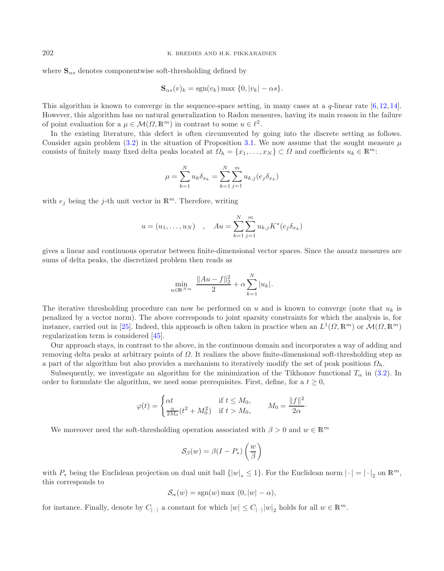where  $\mathbf{S}_{\alpha s}$  denotes componentwise soft-thresholding defined by

$$
\mathbf{S}_{\alpha s}(v)_k = \text{sgn}(v_k) \max \{0, |v_k| - \alpha s\}.
$$

This algorithm is known to converge in the sequence-space setting, in many cases at a  $q$ -linear rate  $[6, 12, 14]$  $[6, 12, 14]$  $[6, 12, 14]$  $[6, 12, 14]$  $[6, 12, 14]$  $[6, 12, 14]$ . However, this algorithm has no natural generalization to Radon measures, having its main reason in the failure of point evaluation for a  $\mu \in \mathcal{M}(\Omega, \mathbb{R}^m)$  in contrast to some  $u \in \ell^2$ .

In the existing literature, this defect is often circumvented by going into the discrete setting as follows. Consider again problem  $(3.2)$  in the situation of Proposition [3.1.](#page-4-2) We now assume that the sought measure  $\mu$ consists of finitely many fixed delta peaks located at  $\Omega_h = \{x_1, \ldots, x_N\} \subset \Omega$  and coefficients  $u_k \in \mathbb{R}^m$ .

$$
\mu = \sum_{k=1}^{N} u_k \delta_{x_k} = \sum_{k=1}^{N} \sum_{j=1}^{m} u_{k,j} (e_j \delta_{x_k})
$$

with  $e_i$  being the j-th unit vector in  $\mathbb{R}^m$ . Therefore, writing

$$
u = (u_1, ..., u_N)
$$
,  $Au = \sum_{k=1}^{N} \sum_{j=1}^{m} u_{k,j} K^*(e_j \delta_{x_k})$ 

gives a linear and continuous operator between finite-dimensional vector spaces. Since the ansatz measures are sums of delta peaks, the discretized problem then reads as

$$
\min_{u \in \mathbb{R}^{N_m}} \frac{\|Au - f\|_2^2}{2} + \alpha \sum_{k=1}^N |u_k|.
$$

 $\ddot{\phantom{a}}$ 

The iterative thresholding procedure can now be performed on u and is known to converge (note that  $u_k$  is penalized by a vector norm). The above corresponds to joint sparsity constraints for which the analysis is, for instance, carried out in [\[25\]](#page-27-36). Indeed, this approach is often taken in practice when an  $L^1(\Omega,\mathbb{R}^m)$  or  $\mathcal{M}(\Omega,\mathbb{R}^m)$ regularization term is considered [\[45](#page-28-2)].

Our approach stays, in contrast to the above, in the continuous domain and incorporates a way of adding and removing delta peaks at arbitrary points of Ω. It realizes the above finite-dimensional soft-thresholding step as a part of the algorithm but also provides a mechanism to iteratively modify the set of peak positions  $\Omega_h$ .

Subsequently, we investigate an algorithm for the minimization of the Tikhonov functional  $T_{\alpha}$  in [\(3.2\)](#page-4-1). In order to formulate the algorithm, we need some prerequisites. First, define, for a  $t \geq 0$ ,

$$
\varphi(t) = \begin{cases} \alpha t & \text{if } t \le M_0, \\ \frac{\alpha}{2M_0}(t^2 + M_0^2) & \text{if } t > M_0, \end{cases} \qquad M_0 = \frac{\|f\|^2}{2\alpha}.
$$

We moreover need the soft-thresholding operation associated with  $\beta > 0$  and  $w \in \mathbb{R}^m$ 

$$
\mathcal{S}_{\beta}(w) = \beta(I - P_*)\left(\frac{w}{\beta}\right)
$$

with  $P_*$  being the Euclidean projection on dual unit ball  $\{|w|_* \le 1\}$ . For the Euclidean norm  $|\cdot| = |\cdot|_2$  on  $\mathbb{R}^m$ , this corresponds to this corresponds to

$$
\mathcal{S}_{\alpha}(w) = \text{sgn}(w) \max(0, |w| - \alpha),
$$

for instance. Finally, denote by  $C_{|\cdot|}$  a constant for which  $|w| \leq C_{|\cdot|} |w|_2$  holds for all  $w \in \mathbb{R}^m$ .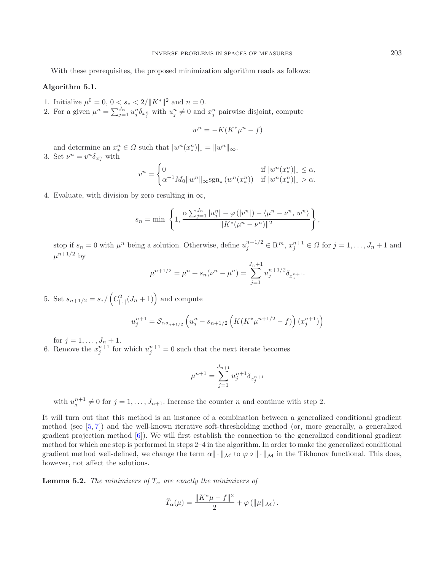With these prerequisites, the proposed minimization algorithm reads as follows:

#### **Algorithm 5.1.**

- 1. Initialize  $\mu^0 = 0, 0 < s_* < 2/\Vert K^* \Vert^2$  and  $n = 0$ .
- 2. For a given  $\mu^n = \sum_{j=1}^{J_n} u_j^n \delta_{x_j^n}$  with  $u_j^n \neq 0$  and  $x_j^n$  pairwise disjoint, compute

<span id="page-13-0"></span>
$$
w^n = -K(K^*\mu^n - f)
$$

and determine an  $x_*^n \in \Omega$  such that  $|w^n(x_*^n)|_* = ||w^n||_{\infty}$ . 3. Set  $\nu^n = v^n \delta_{x_*^n}$  with

$$
v^{n} = \begin{cases} 0 & \text{if } |w^{n}(x_{*}^{n})|_{*} \leq \alpha, \\ \alpha^{-1} M_{0} ||w^{n}||_{\infty} \text{sgn}_{*} (w^{n}(x_{*}^{n})) & \text{if } |w^{n}(x_{*}^{n})|_{*} > \alpha. \end{cases}
$$

4. Evaluate, with division by zero resulting in  $\infty$ ,

$$
s_n = \min \left\{ 1, \frac{\alpha \sum_{j=1}^{J_n} |u_j^n| - \varphi(|v^n|) - \langle \mu^n - \nu^n, w^n \rangle}{\|K^*(\mu^n - \nu^n)\|^2} \right\},
$$

stop if  $s_n = 0$  with  $\mu^n$  being a solution. Otherwise, define  $u_j^{n+1/2} \in \mathbb{R}^m$ ,  $x_j^{n+1} \in \Omega$  for  $j = 1, \ldots, J_n + 1$  and  $\mu^{n+1/2}$  by

$$
\mu^{n+1/2} = \mu^n + s_n(\nu^n - \mu^n) = \sum_{j=1}^{J_n+1} u_j^{n+1/2} \delta_{x_j^{n+1}}.
$$

5. Set  $s_{n+1/2} = s_{*}/(C_{|\cdot|}^2 (J_n + 1))$  and compute

$$
u_j^{n+1} = S_{\alpha s_{n+1/2}} \left( u_j^n - s_{n+1/2} \left( K(K^* \mu^{n+1/2} - f) \right) (x_j^{n+1}) \right)
$$

for  $j = 1, ..., J_n + 1$ .

6. Remove the  $x_j^{n+1}$  for which  $u_j^{n+1} = 0$  such that the next iterate becomes

$$
\mu^{n+1} = \sum_{j=1}^{J_{n+1}} u_j^{n+1} \delta_{x_j^{n+1}}
$$

with  $u_j^{n+1} \neq 0$  for  $j = 1, ..., J_{n+1}$ . Increase the counter n and continue with step 2.

It will turn out that this method is an instance of a combination between a generalized conditional gradient method (see [\[5,](#page-27-12) [7\]](#page-27-13)) and the well-known iterative soft-thresholding method (or, more generally, a generalized gradient projection method  $[6]$ ). We will first establish the connection to the generalized conditional gradient method for which one step is performed in steps 2–4 in the algorithm. In order to make the generalized conditional gradient method well-defined, we change the term  $\alpha \|\cdot\|_{\mathcal{M}}$  to  $\varphi \circ \|\cdot\|_{\mathcal{M}}$  in the Tikhonov functional. This does, however, not affect the solutions.

**Lemma 5.2.** *The minimizers of*  $T_{\alpha}$  *are exactly the minimizers of* 

$$
\tilde{T}_{\alpha}(\mu) = \frac{\|K^*\mu - f\|^2}{2} + \varphi(\|\mu\|_{\mathcal{M}}).
$$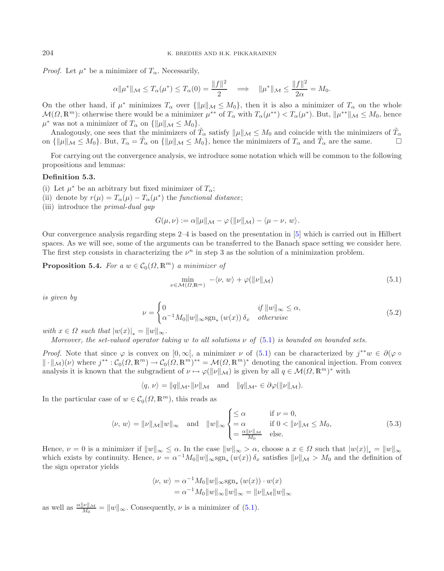*Proof.* Let  $\mu^*$  be a minimizer of  $T_\alpha$ . Necessarily,

$$
\alpha \|\mu^*\|_{\mathcal{M}} \leq T_\alpha(\mu^*) \leq T_\alpha(0) = \frac{\|f\|^2}{2} \quad \Longrightarrow \quad \|\mu^*\|_{\mathcal{M}} \leq \frac{\|f\|^2}{2\alpha} = M_0.
$$

On the other hand, if  $\mu^*$  minimizes  $T_\alpha$  over  $\{\|\mu\|_{\mathcal{M}} \leq M_0\}$ , then it is also a minimizer of  $T_\alpha$  on the whole  $\mathcal{M}(\Omega,\mathbb{R}^m)$ : otherwise there would be a minimizer  $\mu^{**}$  of  $T_\alpha$  with  $T_\alpha(\mu^{**}) < T_\alpha(\mu^*)$ . But,  $\|\mu^{**}\|_{\mathcal{M}} \leq M_0$ , hence  $\mu^*$  was not a minimizer of  $T_\alpha$  on  $\{\|\mu\|_{\mathcal{M}} \leq M_0\}.$ 

Analogously, one sees that the minimizers of  $\tilde{T}_{\alpha}$  satisfy  $\|\mu\|_{\mathcal{M}} \leq M_0$  and coincide with the minimizers of  $\tilde{T}_{\alpha}$  and  $\tilde{T}_{\alpha}$  and  $\tilde{T}_{\alpha}$  are the same on  $\{\|\mu\|_{\mathcal{M}} \leq M_0\}$ . But,  $T_\alpha = \tilde{T}_\alpha$  on  $\{\|\mu\|_{\mathcal{M}} \leq M_0\}$ , hence the minimizers of  $T_\alpha$  and  $\tilde{T}_\alpha$  are the same.

For carrying out the convergence analysis, we introduce some notation which will be common to the following propositions and lemmas:

#### **Definition 5.3.**

- (i) Let  $\mu^*$  be an arbitrary but fixed minimizer of  $T_{\alpha}$ ;
- (ii) denote by  $r(\mu) = T_{\alpha}(\mu) T_{\alpha}(\mu^*)$  the *functional distance*;
- (iii) introduce the *primal-dual gap*

<span id="page-14-0"></span>
$$
G(\mu, \nu) := \alpha ||\mu||_{\mathcal{M}} - \varphi (||\nu||_{\mathcal{M}}) - \langle \mu - \nu, w \rangle.
$$

Our convergence analysis regarding steps 2–4 is based on the presentation in [\[5](#page-27-12)] which is carried out in Hilbert spaces. As we will see, some of the arguments can be transferred to the Banach space setting we consider here. The first step consists in characterizing the  $\nu^n$  in step 3 as the solution of a minimization problem.

<span id="page-14-2"></span>**Proposition 5.4.** *For a*  $w \in C_0(\Omega, \mathbb{R}^m)$  *a minimizer of* 

<span id="page-14-1"></span>
$$
\min_{\nu \in \mathcal{M}(\Omega, \mathbb{R}^m)} \quad -\langle \nu, w \rangle + \varphi(\|\nu\|\mathcal{M}) \tag{5.1}
$$

*is given by*

$$
\nu = \begin{cases} 0 & \text{if } ||w||_{\infty} \le \alpha, \\ \alpha^{-1} M_0 ||w||_{\infty} \text{sgn}_*(w(x)) \, \delta_x & otherwise \end{cases} \tag{5.2}
$$

*with*  $x \in \Omega$  *such that*  $|w(x)|_* = ||w||_{\infty}$ .

*Moreover, the set-valued operator taking* w *to all solutions* ν *of* [\(5.1\)](#page-14-0) *is bounded on bounded sets.*

*Proof.* Note that since  $\varphi$  is convex on  $[0, \infty)$ , a minimizer  $\nu$  of [\(5.1\)](#page-14-0) can be characterized by  $j^{**}w \in \partial(\varphi \circ \varphi)$  $\|\cdot\|_{\mathcal{M}})(\nu)$  where  $j^{**}: \mathcal{C}_0(\Omega, \mathbb{R}^m) \to \mathcal{C}_0(\Omega, \mathbb{R}^m)^{**} = \mathcal{M}(\Omega, \mathbb{R}^m)^{*}$  denoting the canonical injection. From convex analysis it is known that the subgradient of  $\nu \mapsto \varphi(\|\nu\|_{\mathcal{M}})$  is given by all  $q \in \mathcal{M}(\Omega, \mathbb{R}^m)^*$  with

 $\langle q, \nu \rangle = ||q||_{\mathcal{M}^*} ||\nu||_{\mathcal{M}}$  and  $||q||_{\mathcal{M}^*} \in \partial \varphi(||\nu||_{\mathcal{M}})$ .

In the particular case of  $w \in C_0(\Omega, \mathbb{R}^m)$ , this reads as

$$
\langle \nu, w \rangle = \|\nu\|_{\mathcal{M}} \|w\|_{\infty} \quad \text{and} \quad \|w\|_{\infty} \begin{cases} \leq \alpha & \text{if } \nu = 0, \\ = \alpha & \text{if } 0 < \|\nu\|_{\mathcal{M}} \leq M_0, \\ = \frac{\alpha \|\nu\|_{\mathcal{M}}}{M_0} & \text{else.} \end{cases} \tag{5.3}
$$

Hence,  $\nu = 0$  is a minimizer if  $||w||_{\infty} \leq \alpha$ . In the case  $||w||_{\infty} > \alpha$ , choose a  $x \in \Omega$  such that  $|w(x)|_* = ||w||_{\infty}$ which exists by continuity. Hence,  $\nu = \alpha^{-1} M_0 \|w\|_{\infty} \text{sgn}_*(w(x)) \delta_x$  satisfies  $\|\nu\|_{\mathcal{M}} > M_0$  and the definition of the sign operator yields

$$
\langle \nu, w \rangle = \alpha^{-1} M_0 \|w\|_{\infty} \operatorname{sgn}_*(w(x)) \cdot w(x)
$$
  
=  $\alpha^{-1} M_0 \|w\|_{\infty} \|w\|_{\infty} = \|\nu\|_{\mathcal{M}} \|w\|_{\infty}$ 

as well as  $\frac{\alpha||\nu||_{\mathcal{M}}}{M_0} = ||w||_{\infty}$ . Consequently,  $\nu$  is a minimizer of [\(5.1\)](#page-14-0).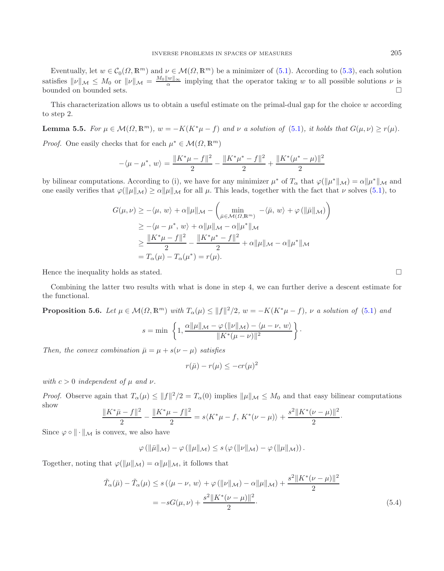Eventually, let  $w \in \mathcal{C}_0(\Omega, \mathbb{R}^m)$  and  $\nu \in \mathcal{M}(\Omega, \mathbb{R}^m)$  be a minimizer of [\(5.1\)](#page-14-0). According to [\(5.3\)](#page-14-1), each solution satisfies  $\|\nu\|_{\mathcal{M}} \leq M_0$  or  $\|\nu\|_{\mathcal{M}} = \frac{M_0 \|\nu\|_{\infty}}{\alpha}$  implying that the operator taking w to all possible solutions  $\nu$  is bounded on bounded sets bounded on bounded sets.

<span id="page-15-0"></span>This characterization allows us to obtain a useful estimate on the primal-dual gap for the choice  $w$  according to step 2.

**Lemma 5.5.** *For*  $\mu \in \mathcal{M}(\Omega, \mathbb{R}^m)$ *,*  $w = -K(K^*\mu - f)$  *and*  $\nu$  *a solution of* [\(5.1\)](#page-14-0)*, it holds that*  $G(\mu, \nu) \ge r(\mu)$ *. Proof.* One easily checks that for each  $\mu^* \in \mathcal{M}(\Omega, \mathbb{R}^m)$ 

$$
-\langle \mu - \mu^*, w \rangle = \frac{\|K^*\mu - f\|^2}{2} - \frac{\|K^*\mu^* - f\|^2}{2} + \frac{\|K^*(\mu^* - \mu)\|^2}{2}
$$

by bilinear computations. According to (i), we have for any minimizer  $\mu^*$  of  $T_\alpha$  that  $\varphi(\|\mu^*\|_{\mathcal{M}}) = \alpha \|\mu^*\|_{\mathcal{M}}$  and one easily verifies that  $\varphi(\|\mu\|_{\mathcal{M}}) \ge \alpha \|\mu\|_{\mathcal{M}}$  for all  $\mu$ . This leads, together with the fact that  $\nu$  solves [\(5.1\)](#page-14-0), to

$$
G(\mu, \nu) \ge -\langle \mu, w \rangle + \alpha ||\mu||_{\mathcal{M}} - \left( \min_{\bar{\mu} \in \mathcal{M}(\Omega, \mathbb{R}^m)} -\langle \bar{\mu}, w \rangle + \varphi \left( ||\bar{\mu}||_{\mathcal{M}} \right) \right)
$$
  
\n
$$
\ge -\langle \mu - \mu^*, w \rangle + \alpha ||\mu||_{\mathcal{M}} - \alpha ||\mu^*||_{\mathcal{M}}
$$
  
\n
$$
\ge \frac{||K^*\mu - f||^2}{2} - \frac{||K^*\mu^* - f||^2}{2} + \alpha ||\mu||_{\mathcal{M}} - \alpha ||\mu^*||_{\mathcal{M}}
$$
  
\n
$$
= T_{\alpha}(\mu) - T_{\alpha}(\mu^*) = r(\mu).
$$

Hence the inequality holds as stated.  $\square$ 

<span id="page-15-2"></span>Combining the latter two results with what is done in step 4, we can further derive a descent estimate for the functional.

**Proposition 5.6.** Let 
$$
\mu \in \mathcal{M}(\Omega, \mathbb{R}^m)
$$
 with  $T_{\alpha}(\mu) \le ||f||^2/2$ ,  $w = -K(K^*\mu - f)$ ,  $\nu$  a solution of (5.1) and  
\n
$$
s = \min \left\{ 1, \frac{\alpha ||\mu||_{\mathcal{M}} - \varphi(||\nu||_{\mathcal{M}}) - \langle \mu - \nu, w \rangle}{\|K^*(\mu - \nu)\|^2} \right\}.
$$

*Then, the convex combination*  $\bar{\mu} = \mu + s(\nu - \mu)$  *satisfies* 

$$
r(\bar{\mu}) - r(\mu) \le -cr(\mu)^2
$$

*with*  $c > 0$  *independent of*  $\mu$  *and*  $\nu$ *.* 

*Proof.* Observe again that  $T_{\alpha}(\mu) \leq ||f||^2/2 = T_{\alpha}(0)$  implies  $||\mu||_{\mathcal{M}} \leq M_0$  and that easy bilinear computations show

$$
\frac{\|K^*\bar{\mu}-f\|^2}{2} - \frac{\|K^*\mu-f\|^2}{2} = s\langle K^*\mu-f, K^*(\nu-\mu)\rangle + \frac{s^2\|K^*(\nu-\mu)\|^2}{2}.
$$

Since  $\varphi \circ \|\cdot\|_{\mathcal{M}}$  is convex, we also have

$$
\varphi\left(\left\|\bar{\mu}\right\|_{\mathcal{M}}\right)-\varphi\left(\left\|\mu\right\|_{\mathcal{M}}\right)\leq s\left(\varphi\left(\left\|\nu\right\|_{\mathcal{M}}\right)-\varphi\left(\left\|\mu\right\|_{\mathcal{M}}\right)\right).
$$

Together, noting that  $\varphi(\|\mu\|_{\mathcal{M}}) = \alpha \|\mu\|_{\mathcal{M}}$ , it follows that

$$
\tilde{T}_{\alpha}(\bar{\mu}) - \tilde{T}_{\alpha}(\mu) \le s \left( \langle \mu - \nu, w \rangle + \varphi \left( ||\nu||_{\mathcal{M}} \right) - \alpha ||\mu||_{\mathcal{M}} \right) + \frac{s^2 ||K^*(\nu - \mu)||^2}{2}
$$
\n
$$
= -sG(\mu, \nu) + \frac{s^2 ||K^*(\nu - \mu)||^2}{2}.
$$
\n(5.4)

<span id="page-15-1"></span>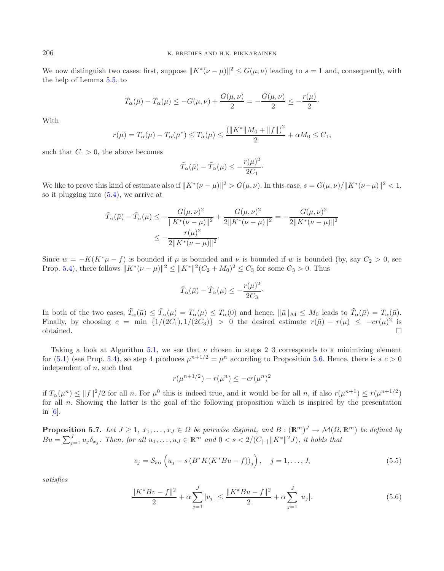We now distinguish two cases: first, suppose  $||K^*(\nu - \mu)||^2 \le G(\mu, \nu)$  leading to  $s = 1$  and, consequently, with the help of Lemma [5.5,](#page-15-0) to

$$
\tilde{T}_{\alpha}(\bar{\mu}) - \tilde{T}_{\alpha}(\mu) \le -G(\mu, \nu) + \frac{G(\mu, \nu)}{2} = -\frac{G(\mu, \nu)}{2} \le -\frac{r(\mu)}{2}.
$$

With

$$
r(\mu) = T_{\alpha}(\mu) - T_{\alpha}(\mu^*) \le T_{\alpha}(\mu) \le \frac{(\|K^*\|M_0 + \|f\|)^2}{2} + \alpha M_0 \le C_1,
$$

such that  $C_1 > 0$ , the above becomes

$$
\tilde{T}_{\alpha}(\bar{\mu}) - \tilde{T}_{\alpha}(\mu) \leq -\frac{r(\mu)^2}{2C_1}.
$$

We like to prove this kind of estimate also if  $||K^*(\nu - \mu)||^2 > G(\mu, \nu)$ . In this case,  $s = G(\mu, \nu) / ||K^*(\nu - \mu)||^2 < 1$ , so it plugging into [\(5.4\)](#page-15-1), we arrive at

$$
\tilde{T}_{\alpha}(\bar{\mu}) - \tilde{T}_{\alpha}(\mu) \le -\frac{G(\mu, \nu)^2}{\|K^*(\nu - \mu)\|^2} + \frac{G(\mu, \nu)^2}{2\|K^*(\nu - \mu)\|^2} = -\frac{G(\mu, \nu)^2}{2\|K^*(\nu - \mu)\|^2}
$$
\n
$$
\le -\frac{r(\mu)^2}{2\|K^*(\nu - \mu)\|^2}.
$$

Since  $w = -K(K^*\mu - f)$  is bounded if  $\mu$  is bounded and  $\nu$  is bounded if w is bounded (by, say  $C_2 > 0$ , see Prop. [5.4\)](#page-14-2), there follows  $||K^*(\nu - \mu)||^2 \le ||K^*||^2(C_2 + M_0)^2 \le C_3$  for some  $C_3 > 0$ . Thus

<span id="page-16-0"></span>
$$
\tilde{T}_{\alpha}(\bar{\mu}) - \tilde{T}_{\alpha}(\mu) \leq -\frac{r(\mu)^2}{2C_3}.
$$

In both of the two cases,  $\tilde{T}_{\alpha}(\bar{\mu}) \leq \tilde{T}_{\alpha}(\mu) = T_{\alpha}(\mu) \leq T_{\alpha}(0)$  and hence,  $\|\bar{\mu}\|_{\mathcal{M}} \leq M_0$  leads to  $\tilde{T}_{\alpha}(\bar{\mu}) = T_{\alpha}(\bar{\mu})$ .<br>Finally, by chaosing a min  $\{1/(2C_1), 1/(2C_2)\}$ , a the desired estimate  $r(\$ Finally, by choosing  $c = \min \{1/(2C_1), 1/(2C_3)\} > 0$  the desired estimate  $r(\bar{\mu}) - r(\mu) \le -cr(\mu)^2$  is obtained.  $\Box$ obtained.  $\Box$ 

<span id="page-16-1"></span>Taking a look at Algorithm [5.1,](#page-13-0) we see that  $\nu$  chosen in steps 2–3 corresponds to a minimizing element for [\(5.1\)](#page-14-0) (see Prop. [5.4\)](#page-14-2), so step 4 produces  $\mu^{n+1/2} = \bar{\mu}^n$  according to Proposition [5.6.](#page-15-2) Hence, there is a  $c > 0$ independent of  $n$ , such that

$$
r(\mu^{n+1/2}) - r(\mu^n) \le -cr(\mu^n)^2
$$

if  $T_{\alpha}(\mu^n) \leq ||f||^2/2$  for all n. For  $\mu^0$  this is indeed true, and it would be for all n, if also  $r(\mu^{n+1}) \leq r(\mu^{n+1/2})$ for all  $n$ . Showing the latter is the goal of the following proposition which is inspired by the presentation in [\[6](#page-27-35)].

<span id="page-16-2"></span>**Proposition 5.7.** *Let*  $J \geq 1, x_1, \ldots, x_J \in \Omega$  *be pairwise disjoint, and*  $B : (\mathbb{R}^m)^J \to \mathcal{M}(\Omega, \mathbb{R}^m)$  *be defined by*  $Bu = \sum_{j=1}^{J} u_j \delta_{x_j}$ . Then, for all  $u_1, \ldots, u_J \in \mathbb{R}^m$  and  $0 < s < 2/(C_{|\cdot|} ||K^*||^2)$ , it holds that

$$
v_j = \mathcal{S}_{s\alpha} \left( u_j - s \left( B^* K (K^* B u - f) \right)_j \right), \quad j = 1, \dots, J,
$$
\n
$$
(5.5)
$$

*satisfies*

$$
\frac{\|K^* Bv - f\|^2}{2} + \alpha \sum_{j=1}^J |v_j| \le \frac{\|K^* Bu - f\|^2}{2} + \alpha \sum_{j=1}^J |u_j|.
$$
 (5.6)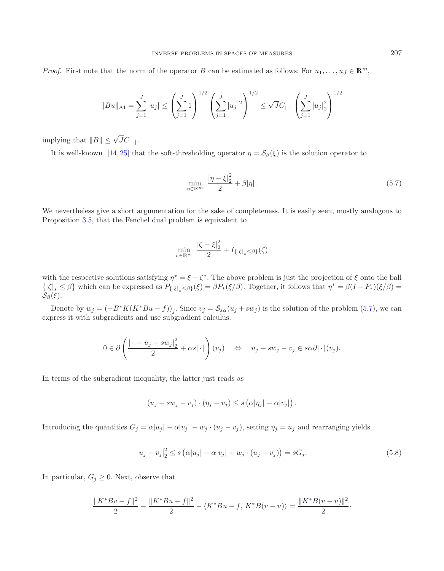*Proof.* First note that the norm of the operator B can be estimated as follows: For  $u_1, \ldots, u_J \in \mathbb{R}^m$ ,

$$
||Bu||_{\mathcal{M}} = \sum_{j=1}^{J} |u_j| \le \left(\sum_{j=1}^{J} 1\right)^{1/2} \left(\sum_{j=1}^{J} |u_j|^2\right)^{1/2} \le \sqrt{J}C_{|\cdot|} \left(\sum_{j=1}^{J} |u_j|_2^2\right)^{1/2}
$$

implying that  $||B|| \leq \sqrt{J}C_{|\cdot|}$ .

It is well-known [\[14,](#page-27-15) [25\]](#page-27-36) that the soft-thresholding operator  $\eta = S_\beta(\xi)$  is the solution operator to

<span id="page-17-0"></span>
$$
\min_{\eta \in \mathbb{R}^m} \frac{|\eta - \xi|_2^2}{2} + \beta |\eta|.
$$
\n(5.7)

We nevertheless give a short argumentation for the sake of completeness. It is easily seen, mostly analogous to Proposition [3.5,](#page-6-2) that the Fenchel dual problem is equivalent to

<span id="page-17-1"></span>
$$
\min_{\zeta \in \mathbb{R}^m} \ \frac{|\zeta - \xi|_2^2}{2} + I_{\{|\zeta|_* \le \beta\}}(\zeta)
$$

with the respective solutions satisfying  $\eta^* = \xi - \zeta^*$ . The above problem is just the projection of  $\xi$  onto the ball  $\{|\zeta|_* \leq \beta\}$  which can be expressed as  $P_{\{|\xi|_* \leq \beta\}}(\xi) = \beta P_*(\xi/\beta)$ . Together, it follows that  $\eta^* = \beta(I - P_*)(\xi/\beta) =$  $\mathcal{S}_{\beta}(\xi)$ .

Denote by  $w_j = (-B^*K(K^*Bu - f))_j$ . Since  $v_j = \mathcal{S}_{s\alpha}(u_j + sw_j)$  is the solution of the problem [\(5.7\)](#page-17-0), we can express it with subgradients and use subgradient calculus:

$$
0 \in \partial \left( \frac{|\cdot - u_j - sw_j|^2}{2} + \alpha s |\cdot| \right) (v_j) \quad \Leftrightarrow \quad u_j + sw_j - v_j \in s \alpha \partial |\cdot|(v_j).
$$

In terms of the subgradient inequality, the latter just reads as

$$
(u_j + sw_j - v_j) \cdot (\eta_j - v_j) \leq s \left( \alpha |\eta_j| - \alpha |v_j| \right).
$$

Introducing the quantities  $G_j = \alpha |u_j| - \alpha |v_j| - w_j \cdot (u_j - v_j)$ , setting  $\eta_j = u_j$  and rearranging yields

$$
|u_j - v_j|_2^2 \le s(\alpha |u_j| - \alpha |v_j| + w_j \cdot (u_j - v_j)) = sG_j.
$$
 (5.8)

In particular,  $G_j \geq 0$ . Next, observe that

$$
\frac{\|K^*Bv - f\|^2}{2} - \frac{\|K^*Bu - f\|^2}{2} - \langle K^*Bu - f, K^*B(v - u) \rangle = \frac{\|K^*B(v - u)\|^2}{2}.
$$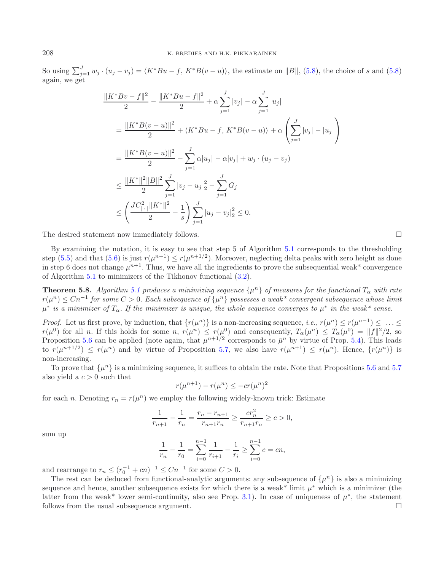So using  $\sum_{j=1}^{J} w_j \cdot (u_j - v_j) = \langle K^*Bu - f, K^*B(v - u) \rangle$ , the estimate on  $||B||$ , [\(5.8\)](#page-17-1), the choice of s and (5.8) again, we get

$$
\frac{\|K^*Bv - f\|^2}{2} - \frac{\|K^*Bu - f\|^2}{2} + \alpha \sum_{j=1}^J |v_j| - \alpha \sum_{j=1}^J |u_j|
$$
  
\n
$$
= \frac{\|K^*B(v - u)\|^2}{2} + \langle K^*Bu - f, K^*B(v - u) \rangle + \alpha \left(\sum_{j=1}^J |v_j| - |u_j|\right)
$$
  
\n
$$
= \frac{\|K^*B(v - u)\|^2}{2} - \sum_{j=1}^J \alpha |u_j| - \alpha |v_j| + w_j \cdot (u_j - v_j)
$$
  
\n
$$
\leq \frac{\|K^*\|^2\|B\|^2}{2} \sum_{j=1}^J |v_j - u_j|_2^2 - \sum_{j=1}^J G_j
$$
  
\n
$$
\leq \left(\frac{JC_{\|\cdot\|}^2 \|K^*\|^2}{2} - \frac{1}{s}\right) \sum_{j=1}^J |u_j - v_j|_2^2 \leq 0.
$$

The desired statement now immediately follows.  $\Box$ 

By examining the notation, it is easy to see that step 5 of Algorithm [5.1](#page-13-0) corresponds to the thresholding step [\(5.5\)](#page-16-0) and that [\(5.6\)](#page-16-1) is just  $r(\mu^{n+1}) \le r(\mu^{n+1/2})$ . Moreover, neglecting delta peaks with zero height as done in step 6 does not change  $\mu^{n+1}$ . Thus, we have all the ingredients to prove the subsequential weak\* convergence of Algorithm [5.1](#page-13-0) to minimizers of the Tikhonov functional [\(3.2\)](#page-4-1).

**Theorem 5.8.** *Algorithm [5.1](#page-13-0) produces a minimizing sequence*  $\{\mu^n\}$  *of measures for the functional*  $T_\alpha$  *with rate* r(μ<sup>n</sup>) ≤ Cn−<sup>1</sup> *for some* C > 0*. Each subsequence of* {μ<sup>n</sup>} *possesses a weak\* convergent subsequence whose limit*  $\mu^*$  *is a minimizer of*  $T_\alpha$ . If the minimizer is unique, the whole sequence converges to  $\mu^*$  in the weak\* sense.

*Proof.* Let us first prove, by induction, that  $\{r(\mu^n)\}\$ is a non-increasing sequence, *i.e.*,  $r(\mu^n) \leq r(\mu^{n-1}) \leq \ldots \leq r(n-1)$  $r(\mu^0)$  for all n. If this holds for some n,  $r(\mu^n) \le r(\mu^0)$  and consequently,  $T_\alpha(\mu^n) \le T_\alpha(\mu^0) = ||f||^2/2$ , so Proposition [5.6](#page-15-2) can be applied (note again, that  $\mu^{n+1/2}$  corresponds to  $\bar{\mu}^n$  by virtue of Prop. [5.4\)](#page-14-2). This leads to  $r(\mu^{n+1/2}) \le r(\mu^n)$  and by virtue of Proposition [5.7,](#page-16-2) we also have  $r(\mu^{n+1}) \le r(\mu^n)$ . Hence,  $\{r(\mu^n)\}\$ is non-increasing.

To prove that  $\{\mu^n\}$  is a minimizing sequence, it suffices to obtain the rate. Note that Propositions [5.6](#page-15-2) and [5.7](#page-16-2) also yield a  $c > 0$  such that

$$
r(\mu^{n+1}) - r(\mu^n) \le -cr(\mu^n)^2
$$

for each n. Denoting  $r_n = r(\mu^n)$  we employ the following widely-known trick: Estimate

$$
\frac{1}{r_{n+1}} - \frac{1}{r_n} = \frac{r_n - r_{n+1}}{r_{n+1}r_n} \ge \frac{cr_n^2}{r_{n+1}r_n} \ge c > 0,
$$

sum up

$$
\frac{1}{r_n} - \frac{1}{r_0} = \sum_{i=0}^{n-1} \frac{1}{r_{i+1}} - \frac{1}{r_i} \ge \sum_{i=0}^{n-1} c = cn,
$$

and rearrange to  $r_n \leq (r_0^{-1} + cn)^{-1} \leq Cn^{-1}$  for some  $C > 0$ .<br>The rest can be deduced from functional analytic arguments

The rest can be deduced from functional-analytic arguments: any subsequence of  $\{\mu^n\}$  is also a minimizing sequence and hence, another subsequence exists for which there is a weak\* limit  $\mu^*$  which is a minimizer (the latter from the weak\* lower semi-continuity, also see Prop. [3.1\)](#page-4-2). In case of uniqueness of  $\mu^*$ , the statement follows from the usual subsequence argument.  $\Box$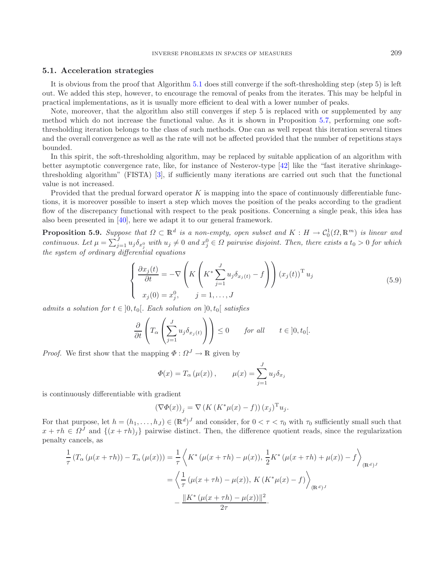#### **5.1. Acceleration strategies**

It is obvious from the proof that Algorithm [5.1](#page-13-0) does still converge if the soft-thresholding step (step 5) is left out. We added this step, however, to encourage the removal of peaks from the iterates. This may be helpful in practical implementations, as it is usually more efficient to deal with a lower number of peaks.

Note, moreover, that the algorithm also still converges if step 5 is replaced with or supplemented by any method which do not increase the functional value. As it is shown in Proposition [5.7,](#page-16-2) performing one softthresholding iteration belongs to the class of such methods. One can as well repeat this iteration several times and the overall convergence as well as the rate will not be affected provided that the number of repetitions stays bounded.

<span id="page-19-0"></span>In this spirit, the soft-thresholding algorithm, may be replaced by suitable application of an algorithm with better asymptotic convergence rate, like, for instance of Nesterov-type [\[42\]](#page-27-37) like the "fast iterative shrinkagethresholding algorithm" (FISTA) [\[3\]](#page-26-1), if sufficiently many iterations are carried out such that the functional value is not increased.

Provided that the predual forward operator  $K$  is mapping into the space of continuously differentiable functions, it is moreover possible to insert a step which moves the position of the peaks according to the gradient flow of the discrepancy functional with respect to the peak positions. Concerning a single peak, this idea has also been presented in [\[40](#page-27-38)], here we adapt it to our general framework.

**Proposition 5.9.** Suppose that  $\Omega \subset \mathbb{R}^d$  is a non-empty, open subset and  $K : H \to C_0^1(\Omega, \mathbb{R}^m)$  is linear and continuous. Let  $\mu = \sum_{j=1}^J u_j \delta_{x_j^0}$  with  $u_j \neq 0$  and  $x_j^0 \in \Omega$  pairwise disjoint. Then, there e *the system of ordinary differential equations*

$$
\begin{cases}\n\frac{\partial x_j(t)}{\partial t} = -\nabla \left( K \left( K^* \sum_{j=1}^J u_j \delta_{x_j(t)} - f \right) \right) (x_j(t))^{\mathrm{T}} u_j \\
x_j(0) = x_j^0, \qquad j = 1, \dots, J\n\end{cases}
$$
\n(5.9)

*admits a solution for*  $t \in [0, t_0]$ . Each solution on  $[0, t_0]$  satisfies

$$
\frac{\partial}{\partial t}\left(T_{\alpha}\left(\sum_{j=1}^{J}u_{j}\delta_{x_{j}(t)}\right)\right) \leq 0 \quad \text{for all} \quad t \in ]0, t_{0}[.
$$

*Proof.* We first show that the mapping  $\Phi : \Omega^J \to \mathbb{R}$  given by

$$
\Phi(x) = T_{\alpha}(\mu(x)), \qquad \mu(x) = \sum_{j=1}^{J} u_j \delta_{x_j}
$$

is continuously differentiable with gradient

$$
\left(\nabla\Phi(x)\right)_j = \nabla\left(K\left(K^*\mu(x) - f\right)\right)(x_j)^{\mathrm{T}}u_j.
$$

For that purpose, let  $h = (h_1, \ldots, h_J) \in (\mathbb{R}^d)^J$  and consider, for  $0 < \tau < \tau_0$  with  $\tau_0$  sufficiently small such that  $x + \tau h \in \Omega^J$  and  $\{(x + \tau h)_j\}$  pairwise distinct. Then, the difference quotient reads, since the regularization penalty cancels, as

$$
\frac{1}{\tau} (T_{\alpha} (\mu(x + \tau h)) - T_{\alpha} (\mu(x))) = \frac{1}{\tau} \left\langle K^* (\mu(x + \tau h) - \mu(x)), \frac{1}{2} K^* (\mu(x + \tau h) + \mu(x)) - f \right\rangle_{(\mathbb{R}^d)^J}
$$

$$
= \left\langle \frac{1}{\tau} (\mu(x + \tau h) - \mu(x)), K (K^* \mu(x) - f) \right\rangle_{(\mathbb{R}^d)^J}
$$

$$
- \frac{\|K^* (\mu(x + \tau h) - \mu(x))\|^2}{2\tau}.
$$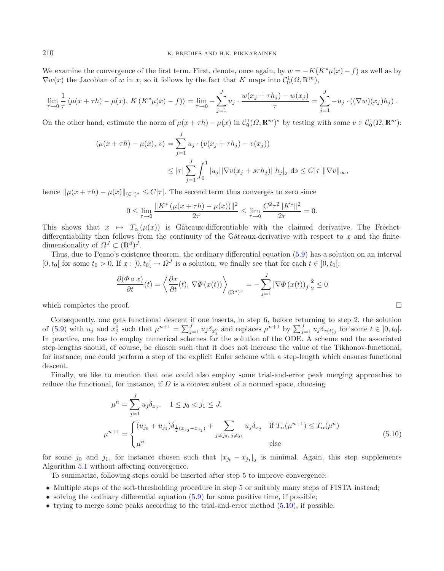We examine the convergence of the first term. First, denote, once again, by  $w = -K(K^*\mu(x) - f)$  as well as by  $\nabla w(x)$  the Jacobian of w in x, so it follows by the fact that K maps into  $C_0^1(\Omega, \mathbb{R}^m)$ ,

$$
\lim_{\tau \to 0} \frac{1}{\tau} \langle \mu(x + \tau h) - \mu(x), K(K^* \mu(x) - f) \rangle = \lim_{\tau \to 0} - \sum_{j=1}^J u_j \cdot \frac{w(x_j + \tau h_j) - w(x_j)}{\tau} = \sum_{j=1}^J -u_j \cdot ((\nabla w)(x_j)h_j).
$$

On the other hand, estimate the norm of  $\mu(x+\tau h) - \mu(x)$  in  $C_0^1(\Omega, \mathbb{R}^m)^*$  by testing with some  $v \in C_0^1(\Omega, \mathbb{R}^m)$ :

$$
\langle \mu(x + \tau h) - \mu(x), v \rangle = \sum_{j=1}^{J} u_j \cdot (v(x_j + \tau h_j) - v(x_j))
$$
  

$$
\leq |\tau| \sum_{j=1}^{J} \int_0^1 |u_j| |\nabla v(x_j + s \tau h_j)| |h_j|_2 \, ds \leq C |\tau| ||\nabla v||_{\infty},
$$

hence  $\|\mu(x+\tau h) - \mu(x)\|_{(\mathcal{C}^1)^*} \leq C|\tau|$ . The second term thus converges to zero since

$$
0 \le \lim_{\tau \to 0} \frac{\|K^* \left(\mu(x + \tau h) - \mu(x)\right)\|^2}{2\tau} \le \lim_{\tau \to 0} \frac{C^2 \tau^2 \|K^*\|^2}{2\tau} = 0.
$$

This shows that  $x \mapsto T_\alpha(\mu(x))$  is Gâteaux-differentiable with the claimed derivative. The Fréchetdifferentiability then follows from the continuity of the Gâteaux-derivative with respect to  $x$  and the finitedimensionality of  $\Omega^J \subset (\mathbb{R}^d)^J$ .

Thus, due to Peano's existence theorem, the ordinary differential equation [\(5.9\)](#page-19-0) has a solution on an interval  $[0, t_0]$  for some  $t_0 > 0$ . If  $x : [0, t_0] \to \Omega^J$  is a solution, we finally see that for each  $t \in [0, t_0]$ :

<span id="page-20-0"></span>
$$
\frac{\partial (\Phi \circ x)}{\partial t}(t) = \left\langle \frac{\partial x}{\partial t}(t), \nabla \Phi(x(t)) \right\rangle_{(\mathbb{R}^d)^J} = -\sum_{j=1}^J \left| \nabla \Phi(x(t))_j \right|_2^2 \le 0
$$

which completes the proof.  $\Box$ 

Consequently, one gets functional descent if one inserts, in step 6, before returning to step 2, the solution of [\(5.9\)](#page-19-0) with  $u_j$  and  $x_j^0$  such that  $\mu^{n+1} = \sum_{j=1}^J u_j \delta_{x_j^0}$  and replaces  $\mu^{n+1}$  by  $\sum_{j=1}^J u_j \delta_{x(t)_j}$  for some  $t \in [0, t_0]$ .<br>In precise, one has to employ numerical schemes for the solution of the ODF. A s In practice, one has to employ numerical schemes for the solution of the ODE. A scheme and the associated step-lengths should, of course, be chosen such that it does not increase the value of the Tikhonov-functional, for instance, one could perform a step of the explicit Euler scheme with a step-length which ensures functional descent.

Finally, we like to mention that one could also employ some trial-and-error peak merging approaches to reduce the functional, for instance, if  $\Omega$  is a convex subset of a normed space, choosing

$$
\mu^{n} = \sum_{j=1}^{J} u_{j} \delta_{x_{j}}, \quad 1 \leq j_{0} < j_{1} \leq J,
$$
\n
$$
\mu^{n+1} = \begin{cases}\n(u_{j_{0}} + u_{j_{1}}) \delta_{\frac{1}{2}(x_{j_{0}} + x_{j_{1}})} + \sum_{j \neq j_{0}, j \neq j_{1}} u_{j} \delta_{x_{j}} & \text{if } T_{\alpha}(\mu^{n+1}) \leq T_{\alpha}(\mu^{n}) \\
\mu^{n} & \text{else}\n\end{cases}
$$
\n(5.10)

for some  $j_0$  and  $j_1$ , for instance chosen such that  $|x_{j_0} - x_{j_1}|_2$  is minimal. Again, this step supplements Algorithm [5.1](#page-13-0) without affecting convergence.

To summarize, following steps could be inserted after step 5 to improve convergence:

- Multiple steps of the soft-thresholding procedure in step 5 or suitably many steps of FISTA instead;
- solving the ordinary differential equation  $(5.9)$  for some positive time, if possible;
- trying to merge some peaks according to the trial-and-error method [\(5.10\)](#page-20-0), if possible.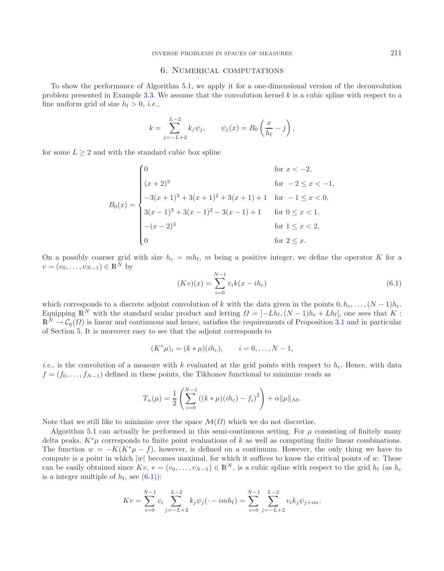## 6. Numerical computations

<span id="page-21-0"></span>To show the performance of Algorithm [5.1,](#page-13-0) we apply it for a one-dimensional version of the deconvolution problem presented in Example [3.3.](#page-5-1) We assume that the convolution kernel  $k$  is a cubic spline with respect to a fine uniform grid of size  $h_f > 0$ , *i.e.*,

$$
k = \sum_{j=-L+2}^{L-2} k_j \psi_j, \qquad \psi_j(x) = B_0 \left(\frac{x}{h_f} - j\right),
$$

for some  $L \geq 2$  and with the standard cubic box spline

<span id="page-21-1"></span>
$$
B_0(x) = \begin{cases} 0 & \text{for } x < -2, \\ (x+2)^3 & \text{for } -2 \le x < -1, \\ -3(x+1)^3 + 3(x+1)^2 + 3(x+1) + 1 & \text{for } -1 \le x < 0, \\ 3(x-1)^3 + 3(x-1)^2 - 3(x-1) + 1 & \text{for } 0 \le x < 1, \\ -(x-2)^3 & \text{for } 1 \le x < 2, \\ 0 & \text{for } 2 \le x. \end{cases}
$$

On a possibly coarser grid with size  $h_c = mh_f$ , m being a positive integer, we define the operator K for a  $v = (v_0, \ldots, v_{N-1}) \in \mathbb{R}^N$  by

$$
(Kv)(x) = \sum_{i=0}^{N-1} v_i k(x - ih_c)
$$
\n(6.1)

which corresponds to a discrete adjoint convolution of k with the data given in the points  $0, h_c, \ldots, (N-1)h_c$ . Equipping  $\mathbb{R}^N$  with the standard scalar product and letting  $\Omega = \left[-Lh_f,(N-1)h_c + Lh_f\right]$ , one sees that K:  $\mathbb{R}^N \to \mathcal{C}_0(\Omega)$  is linear and continuous and hence, satisfies the requirements of Proposition [3.1](#page-4-2) and in particular of Soction 5. It is moreover easy to see that the adjoint corresponds to of Section [5.](#page-11-0) It is moreover easy to see that the adjoint corresponds to

$$
(K^*\mu)_i = (k*\mu)(ih_c), \qquad i = 0, ..., N-1,
$$

*i.e.*, is the convolution of a measure with k evaluated at the grid points with respect to  $h_c$ . Hence, with data  $f = (f_0, \ldots, f_{N-1})$  defined in these points, the Tikhonov functional to minimize reads as

$$
T_{\alpha}(\mu) = \frac{1}{2} \left( \sum_{i=0}^{N-1} ((k * \mu)(ih_{c}) - f_{i})^{2} \right) + \alpha ||\mu||_{\mathcal{M}}.
$$

Note that we still like to minimize over the space  $\mathcal{M}(\Omega)$  which we do not discretize.

Algorithm [5.1](#page-13-0) can actually be performed in this semi-continuous setting. For  $\mu$  consisting of finitely many delta peaks,  $K^*\mu$  corresponds to finite point evaluations of k as well as computing finite linear combinations. The function  $w = -K(K^*\mu - f)$ , however, is defined on a continuum. However, the only thing we have to compute is a point in which  $|w|$  becomes maximal, for which it suffices to know the critical points of w. These can be easily obtained since  $Kv, v = (v_0, \ldots, v_{N-1}) \in \mathbb{R}^N$ , is a cubic spline with respect to the grid  $h_f$  (as  $h_c$ is a integer multiple of  $h_f$ , see [\(6.1\)](#page-21-1)):

$$
Kv = \sum_{i=0}^{N-1} v_i \sum_{j=-L+2}^{L-2} k_j \psi_j(\cdot - imh_f) = \sum_{i=0}^{N-1} \sum_{j=-L+2}^{L-2} v_i k_j \psi_{j+im}.
$$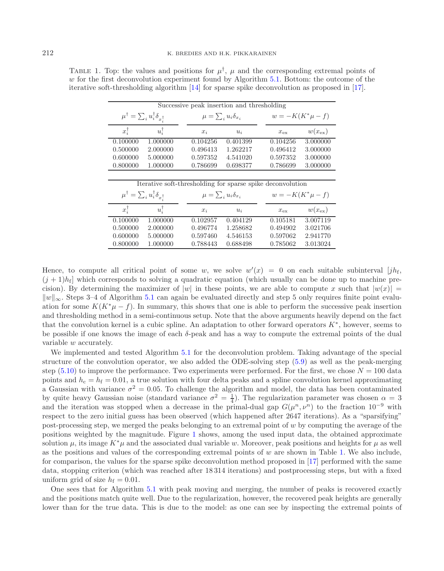| Successive peak insertion and thresholding                  |                 |                                 |          |                                                            |                 |  |  |  |  |
|-------------------------------------------------------------|-----------------|---------------------------------|----------|------------------------------------------------------------|-----------------|--|--|--|--|
| $\mu^\dagger = \sum_i u_i^\dagger \delta_{x_i^\dagger}$     |                 | $\mu = \sum_i u_i \delta_{x_i}$ |          | $w = -K(K^*\mu - f)$                                       |                 |  |  |  |  |
| $x_i^{\dagger}$                                             | $u_i^{\dagger}$ | $x_i$                           | $u_i$    | $x_{\rm ex}$                                               | $w(x_{\rm ex})$ |  |  |  |  |
| 0.100000                                                    | 1.000000        | 0.104256                        | 0.401399 | 0.104256                                                   | 3.000000        |  |  |  |  |
| 0.500000                                                    | 2.000000        | 0.496413                        | 1.262217 | 0.496412                                                   | 3.000000        |  |  |  |  |
| 0.600000                                                    | 5.000000        | 0.597352                        | 4.541020 | 0.597352                                                   | 3.000000        |  |  |  |  |
| 0.800000                                                    | 1.000000        | 0.786699                        | 0.698377 | 0.786699                                                   | 3.000000        |  |  |  |  |
|                                                             |                 |                                 |          |                                                            |                 |  |  |  |  |
|                                                             |                 |                                 |          |                                                            |                 |  |  |  |  |
|                                                             |                 |                                 |          | Iterative soft-thresholding for sparse spike deconvolution |                 |  |  |  |  |
| $\mu^{\dagger} = \sum_i u_i^{\dagger} \delta_{x^{\dagger}}$ |                 | $\mu = \sum_i u_i \delta_{x_i}$ |          | $w = -K(K^*\mu - f)$                                       |                 |  |  |  |  |
| $x_i^{\dagger}$                                             | $u_i^{\dagger}$ | $x_i$                           | $u_i$    | $x_{\rm ex}$                                               | $w(x_{\rm ex})$ |  |  |  |  |
| 0.100000                                                    | 1.000000        | 0.102957                        | 0.404129 | 0.105181                                                   | 3.007119        |  |  |  |  |
| 0.500000                                                    | 2.000000        | 0.496774                        | 1.258682 | 0.494902                                                   | 3.021706        |  |  |  |  |
| 0.600000                                                    | 5.000000        | 0.597460                        | 4.546153 | 0.597062                                                   | 2.941770        |  |  |  |  |

<span id="page-22-0"></span>TABLE 1. Top: the values and positions for  $\mu^{\dagger}$ ,  $\mu$  and the corresponding extremal points of  $w$  for the first deconvolution experiment found by Algorithm [5.1.](#page-13-0) Bottom: the outcome of the iterative soft-thresholding algorithm [\[14](#page-27-15)] for sparse spike deconvolution as proposed in [\[17\]](#page-27-22).

Hence, to compute all critical point of some w, we solve  $w'(x) = 0$  on each suitable subinterval  $[jh_f, (j+1)h_j]$  which compared to solving a supplying constitue (which was like on he does up to machine pro- $(j+1)h_f$  which corresponds to solving a quadratic equation (which usually can be done up to machine precision). By determining the maximizer of |w| in these points, we are able to compute x such that  $|w(x)| =$  $\|w\|_{\infty}$ . Steps 3–4 of Algorithm [5.1](#page-13-0) can again be evaluated directly and step 5 only requires finite point evaluation for some  $K(K^*\mu - f)$ . In summary, this shows that one is able to perform the successive peak insertion and thresholding method in a semi-continuous setup. Note that the above arguments heavily depend on the fact that the convolution kernel is a cubic spline. An adaptation to other forward operators  $K^*$ , however, seems to be possible if one knows the image of each δ-peak and has a way to compute the extremal points of the dual variable w accurately.

We implemented and tested Algorithm [5.1](#page-13-0) for the deconvolution problem. Taking advantage of the special structure of the convolution operator, we also added the ODE-solving step [\(5.9\)](#page-19-0) as well as the peak-merging step [\(5.10\)](#page-20-0) to improve the performance. Two experiments were performed. For the first, we chose  $N = 100$  data points and  $h_c = h_f = 0.01$ , a true solution with four delta peaks and a spline convolution kernel approximating a Gaussian with variance  $\sigma^2 = 0.05$ . To challenge the algorithm and model, the data has been contaminated by quite heavy Gaussian noise (standard variance  $\sigma^2 = \frac{1}{4}$ ). The regularization parameter was chosen  $\alpha = 3$ <br>and the iteration was stopped when a decrease in the primal-dual gap  $G(\mu^n, \nu^n)$  to the fraction  $10^{-9}$  wi and the iteration was stopped when a decrease in the primal-dual gap  $G(\mu^n, \nu^n)$  to the fraction  $10^{-9}$  with respect to the zero initial guess has been observed (which happened after 2647 iterations). As a "sparsifying" post-processing step, we merged the peaks belonging to an extremal point of w by computing the average of the positions weighted by the magnitude. Figure [1](#page-23-0) shows, among the used input data, the obtained approximate solution  $\mu$ , its image  $K^*\mu$  and the associated dual variable w. Moreover, peak positions and heights for  $\mu$  as well as the positions and values of the corresponding extremal points of  $w$  are shown in Table [1.](#page-22-0) We also include, for comparison, the values for the sparse spike deconvolution method proposed in [\[17\]](#page-27-22) performed with the same data, stopping criterion (which was reached after 18 314 iterations) and postprocessing steps, but with a fixed uniform grid of size  $h_f = 0.01$ .

One sees that for Algorithm [5.1](#page-13-0) with peak moving and merging, the number of peaks is recovered exactly and the positions match quite well. Due to the regularization, however, the recovered peak heights are generally lower than for the true data. This is due to the model: as one can see by inspecting the extremal points of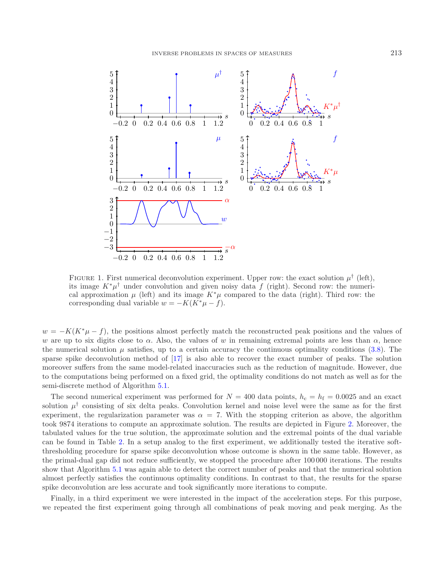

<span id="page-23-0"></span>FIGURE 1. First numerical deconvolution experiment. Upper row: the exact solution  $\mu^{\dagger}$  (left), its image  $K^*\mu^{\dagger}$  under convolution and given noisy data f (right). Second row: the numerical approximation  $\mu$  (left) and its image  $K^*\mu$  compared to the data (right). Third row: the corresponding dual variable  $w = -K(K^*\mu - f)$ .

 $w = -K(K^*\mu - f)$ , the positions almost perfectly match the reconstructed peak positions and the values of w are up to six digits close to  $\alpha$ . Also, the values of w in remaining extremal points are less than  $\alpha$ , hence the numerical solution  $\mu$  satisfies, up to a certain accuracy the continuous optimality conditions [\(3.8\)](#page-7-1). The sparse spike deconvolution method of [\[17](#page-27-22)] is also able to recover the exact number of peaks. The solution moreover suffers from the same model-related inaccuracies such as the reduction of magnitude. However, due to the computations being performed on a fixed grid, the optimality conditions do not match as well as for the semi-discrete method of Algorithm [5.1.](#page-13-0)

The second numerical experiment was performed for  $N = 400$  data points,  $h_c = h_f = 0.0025$  and an exact solution  $\mu^{\dagger}$  consisting of six delta peaks. Convolution kernel and noise level were the same as for the first experiment, the regularization parameter was  $\alpha = 7$ . With the stopping criterion as above, the algorithm took 9874 iterations to compute an approximate solution. The results are depicted in Figure [2.](#page-24-0) Moreover, the tabulated values for the true solution, the approximate solution and the extremal points of the dual variable can be found in Table [2.](#page-25-1) In a setup analog to the first experiment, we additionally tested the iterative softthresholding procedure for sparse spike deconvolution whose outcome is shown in the same table. However, as the primal-dual gap did not reduce sufficiently, we stopped the procedure after 100 000 iterations. The results show that Algorithm [5.1](#page-13-0) was again able to detect the correct number of peaks and that the numerical solution almost perfectly satisfies the continuous optimality conditions. In contrast to that, the results for the sparse spike deconvolution are less accurate and took significantly more iterations to compute.

Finally, in a third experiment we were interested in the impact of the acceleration steps. For this purpose, we repeated the first experiment going through all combinations of peak moving and peak merging. As the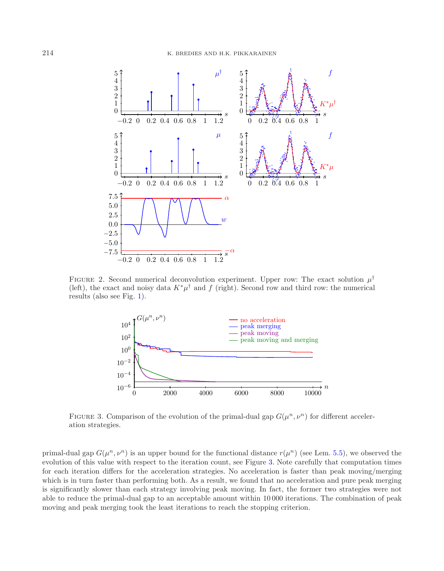

<span id="page-24-1"></span><span id="page-24-0"></span>FIGURE 2. Second numerical deconvolution experiment. Upper row: The exact solution  $\mu^{\dagger}$ (left), the exact and noisy data  $K^*\mu^{\dagger}$  and f (right). Second row and third row: the numerical results (also see Fig. [1\)](#page-23-0).



FIGURE 3. Comparison of the evolution of the primal-dual gap  $G(\mu^n, \nu^n)$  for different acceleration strategies.

primal-dual gap  $G(\mu^n, \nu^n)$  is an upper bound for the functional distance  $r(\mu^n)$  (see Lem. [5.5\)](#page-15-0), we observed the evolution of this value with respect to the iteration count, see Figure [3.](#page-24-1) Note carefully that computation times for each iteration differs for the acceleration strategies. No acceleration is faster than peak moving/merging which is in turn faster than performing both. As a result, we found that no acceleration and pure peak merging is significantly slower than each strategy involving peak moving. In fact, the former two strategies were not able to reduce the primal-dual gap to an acceptable amount within 10 000 iterations. The combination of peak moving and peak merging took the least iterations to reach the stopping criterion.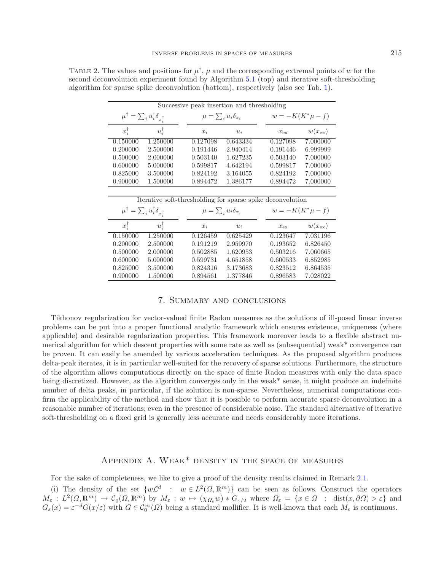| Successive peak insertion and thresholding                 |                 |                                 |                                 |              |                      |  |  |  |  |
|------------------------------------------------------------|-----------------|---------------------------------|---------------------------------|--------------|----------------------|--|--|--|--|
| $\mu^\dagger = \sum_i u_i^\dagger \delta_{x_i^\dagger}$    |                 |                                 | $\mu = \sum_i u_i \delta_{x_i}$ |              | $w = -K(K^*\mu - f)$ |  |  |  |  |
| $x_i^{\dagger}$                                            | $u_i^{\dagger}$ | $x_i$                           | $u_i$                           | $x_{\rm ex}$ | $w(x_{\rm ex})$      |  |  |  |  |
| 0.150000                                                   | 1.250000        | 0.127098                        | 0.643334                        | 0.127098     | 7.000000             |  |  |  |  |
| 0.200000                                                   | 2.500000        | 0.191446                        | 2.940414                        | 0.191446     | 6.999999             |  |  |  |  |
| 0.500000                                                   | 2.000000        | 0.503140                        | 1.627235                        | 0.503140     | 7.000000             |  |  |  |  |
| 0.600000                                                   | 5.000000        | 0.599817                        | 4.642194                        | 0.599817     | 7.000000             |  |  |  |  |
| 0.825000                                                   | 3.500000        | 0.824192                        | 3.164055                        | 0.824192     | 7.000000             |  |  |  |  |
| 0.900000                                                   | 1.500000        | 0.894472                        | 1.386177                        | 0.894472     | 7.000000             |  |  |  |  |
|                                                            |                 |                                 |                                 |              |                      |  |  |  |  |
| Iterative soft-thresholding for sparse spike deconvolution |                 |                                 |                                 |              |                      |  |  |  |  |
|                                                            |                 |                                 |                                 |              |                      |  |  |  |  |
| $\mu^\dagger = \sum_i u_i^\dagger \delta_{x_i^\dagger}$    |                 | $\mu = \sum_i u_i \delta_{x_i}$ |                                 |              | $w = -K(K^*\mu - f)$ |  |  |  |  |
| $x_i^{\dagger}$                                            | $u_i^{\dagger}$ | $x_i$                           | $u_i$                           | $x_{\rm ex}$ | $w(x_{\rm ex})$      |  |  |  |  |
| 0.150000                                                   | 1.250000        | 0.126459                        | 0.625429                        | 0.123647     | 7.031196             |  |  |  |  |
| 0.200000                                                   | 2.500000        | 0.191219                        | 2.959970                        | 0.193652     | 6.826450             |  |  |  |  |
| 0.500000                                                   | 2.000000        | 0.502885                        | 1.620953                        | 0.503216     | 7.060665             |  |  |  |  |
| 0.600000                                                   | 5.000000        | 0.599731                        | 4.651858                        | 0.600533     | 6.852985             |  |  |  |  |
| 0.825000                                                   | 3.500000        | 0.824316                        | 3.173683                        | 0.823512     | 6.864535             |  |  |  |  |

<span id="page-25-1"></span>TABLE 2. The values and positions for  $\mu^{\dagger}$ ,  $\mu$  and the corresponding extremal points of w for the second deconvolution experiment found by Algorithm [5.1](#page-13-0) (top) and iterative soft-thresholding algorithm for sparse spike deconvolution (bottom), respectively (also see Tab. [1\)](#page-22-0).

## 7. Summary and conclusions

<span id="page-25-0"></span>Tikhonov regularization for vector-valued finite Radon measures as the solutions of ill-posed linear inverse problems can be put into a proper functional analytic framework which ensures existence, uniqueness (where applicable) and desirable regularization properties. This framework moreover leads to a flexible abstract numerical algorithm for which descent properties with some rate as well as (subsequential) weak\* convergence can be proven. It can easily be amended by various acceleration techniques. As the proposed algorithm produces delta-peak iterates, it is in particular well-suited for the recovery of sparse solutions. Furthermore, the structure of the algorithm allows computations directly on the space of finite Radon measures with only the data space being discretized. However, as the algorithm converges only in the weak\* sense, it might produce an indefinite number of delta peaks, in particular, if the solution is non-sparse. Nevertheless, numerical computations confirm the applicability of the method and show that it is possible to perform accurate sparse deconvolution in a reasonable number of iterations; even in the presence of considerable noise. The standard alternative of iterative soft-thresholding on a fixed grid is generally less accurate and needs considerably more iterations.

# Appendix A. Weak\* density in the space of measures

For the sake of completeness, we like to give a proof of the density results claimed in Remark [2.1.](#page-3-1)

(i) The density of the set  $\{w\mathcal{L}^d : w \in L^2(\Omega, \mathbb{R}^m)\}\)$  can be seen as follows. Construct the operators  $M_{\varepsilon}: L^2(\Omega, \mathbb{R}^m) \to \mathcal{C}_0(\Omega, \mathbb{R}^m)$  by  $M_{\varepsilon}: w \mapsto (\chi_{\Omega_{\varepsilon}}w) * G_{\varepsilon/2}$  where  $\Omega_{\varepsilon} = \{x \in \Omega : \text{dist}(x, \partial \Omega) > \varepsilon\}$  and  $G_{\varepsilon}(x) = \varepsilon^{-d} G(x/\varepsilon)$  with  $G \in C_0^{\infty}(\Omega)$  being a standard mollifier. It is well-known that each  $M_{\varepsilon}$  is continuous.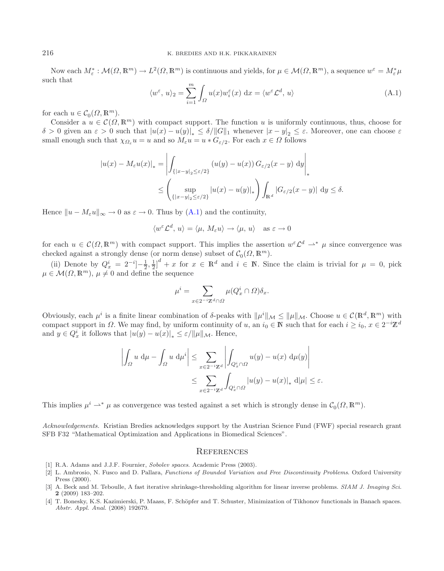Now each  $M_{\varepsilon}^* : \mathcal{M}(\Omega, \mathbb{R}^m) \to L^2(\Omega, \mathbb{R}^m)$  is continuous and yields, for  $\mu \in \mathcal{M}(\Omega, \mathbb{R}^m)$ , a sequence  $w^{\varepsilon} = M_{\varepsilon}^* \mu$ such that

$$
\langle w^{\varepsilon}, u \rangle_2 = \sum_{i=1}^{m} \int_{\Omega} u(x) w_i^{\varepsilon}(x) dx = \langle w^{\varepsilon} \mathcal{L}^d, u \rangle \tag{A.1}
$$

for each  $u \in \mathcal{C}_0(\Omega, \mathbb{R}^m)$ .<br>Consider a  $u \in \mathcal{C}(\Omega)$ 

Consider a  $u \in \mathcal{C}(\Omega, \mathbb{R}^m)$  with compact support. The function u is uniformly continuous, thus, choose for δ > 0 given an ε > 0 such that  $|u(x) - u(y)|_* \le \delta/||G||_1$  whenever  $|x - y|_2 \le \varepsilon$ . Moreover, one can choose ε<br>small enough such that  $\chi_0, u - u$  and so  $M, u - u * G$  as For each  $x \in O$  follows small enough such that  $\chi_{\Omega_{\varepsilon}} u = u$  and so  $M_{\varepsilon} u = u * G_{\varepsilon/2}$ . For each  $x \in \Omega$  follows

$$
|u(x) - M_{\varepsilon}u(x)|_* = \left| \int_{\{|x-y|_2 \le \varepsilon/2\}} (u(y) - u(x)) G_{\varepsilon/2}(x-y) dy \right|_*
$$
  

$$
\leq \left( \sup_{\{|x-y|_2 \le \varepsilon/2\}} |u(x) - u(y)|_* \right) \int_{\mathbb{R}^d} |G_{\varepsilon/2}(x-y)| dy \leq \delta.
$$

Hence  $||u - M_{\varepsilon}u||_{\infty} \to 0$  as  $\varepsilon \to 0$ . Thus by [\(A.1\)](#page-26-4) and the continuity,

$$
\langle w^\varepsilon \mathcal{L}^d,\, u \rangle = \langle \mu,\, M_\varepsilon u \rangle \to \langle \mu,\, u \rangle \quad \text{as } \varepsilon \to 0
$$

for each  $u \in \mathcal{C}(\Omega, \mathbb{R}^m)$  with compact support. This implies the assertion  $w^{\varepsilon} \mathcal{L}^d \rightharpoonup^* \mu$  since convergence was checked against a strongly dense (or norm dense) subset of  $C_0(\Omega, \mathbb{R}^m)$ .

(ii) Denote by  $Q_x^i = 2^{-i} - \frac{1}{2}, \frac{1}{2} \big]_0^d + x$  for  $x \in \mathbb{R}^d$  and  $i \in \mathbb{N}$ . Since the claim is trivial for  $\mu = 0$ , pick  $\leq M(O \mathbb{R}^m)$ ,  $\mu \neq 0$  and define the sequence  $\mu \in \mathcal{M}(\Omega,\mathbb{R}^m), \mu \neq 0$  and define the sequence

$$
\mu^i = \sum_{x \in 2^{-i}\mathbb{Z}^d \cap \Omega} \mu(Q_x^i \cap \Omega) \delta_x.
$$

Obviously, each  $\mu^i$  is a finite linear combination of δ-peaks with  $\|\mu^i\|_{\mathcal{M}} \le \|\mu\|_{\mathcal{M}}$ . Choose  $u \in \mathcal{C}(\mathbb{R}^d, \mathbb{R}^m)$  with compact support in  $\Omega$ . We may find, by uniform continuity of u, an  $i_0 \in \mathbb{N}$  such that for each  $i \geq i_0$ ,  $x \in 2^{-i}\mathbb{Z}^d$ and  $y \in Q_x^i$  it follows that  $|u(y) - u(x)|_* \leq \varepsilon / ||\mu||_{\mathcal{M}}$ . Hence,

$$
\left| \int_{\Omega} u \, \mathrm{d}\mu - \int_{\Omega} u \, \mathrm{d}\mu^{i} \right| \leq \sum_{x \in 2^{-i}\mathbb{Z}^d} \left| \int_{Q_x^i \cap \Omega} u(y) - u(x) \, \mathrm{d}\mu(y) \right|
$$
  

$$
\leq \sum_{x \in 2^{-i}\mathbb{Z}^d} \int_{Q_x^i \cap \Omega} |u(y) - u(x)|_* \, \mathrm{d}|\mu| \leq \varepsilon.
$$

This implies  $\mu^{i} \rightarrow^* \mu$  as convergence was tested against a set which is strongly dense in  $C_0(\Omega, \mathbb{R}^m)$ .

*Acknowledgements.* Kristian Bredies acknowledges support by the Austrian Science Fund (FWF) special research grant SFB F32 "Mathematical Optimization and Applications in Biomedical Sciences".

#### **REFERENCES**

- [1] R.A. Adams and J.J.F. Fournier, Sobolev spaces. Academic Press (2003).
- <span id="page-26-3"></span><span id="page-26-2"></span>[2] L. Ambrosio, N. Fusco and D. Pallara, Functions of Bounded Variation and Free Discontinuity Problems. Oxford University Press (2000).
- <span id="page-26-1"></span>[3] A. Beck and M. Teboulle, A fast iterative shrinkage-thresholding algorithm for linear inverse problems. SIAM J. Imaging Sci. **2** (2009) 183–202.
- <span id="page-26-0"></span>[4] T. Bonesky, K.S. Kazimierski, P. Maass, F. Schöpfer and T. Schuster, Minimization of Tikhonov functionals in Banach spaces. Abstr. Appl. Anal. (2008) 192679.

<span id="page-26-4"></span>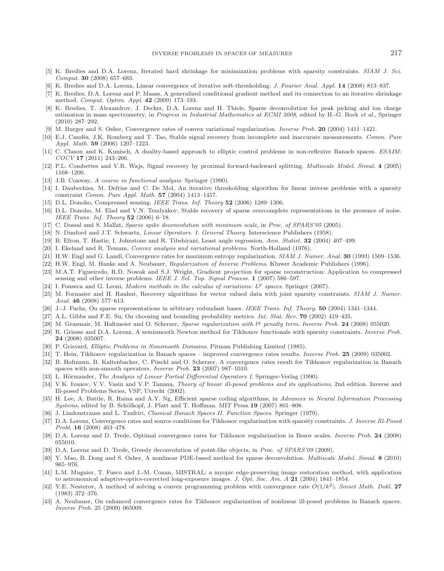- <span id="page-27-12"></span>[5] K. Bredies and D.A. Lorenz, Iterated hard shrinkage for minimization problems with sparsity constraints. SIAM J. Sci. Comput. **30** (2008) 657–683.
- <span id="page-27-35"></span>[6] K. Bredies and D.A. Lorenz, Linear convergence of iterative soft-thresholding. J. Fourier Anal. Appl. **14** (2008) 813–837.
- <span id="page-27-13"></span>[7] K. Bredies, D.A. Lorenz and P. Maass, A generalized conditional gradient method and its connection to an iterative shrinkage method. Comput. Optim. Appl. **42** (2009) 173–193.
- <span id="page-27-26"></span>[8] K. Bredies, T. Alexandrov, J. Decker, D.A. Lorenz and H. Thiele, Sparse deconvolution for peak picking and ion charge estimation in mass spectrometry, in Progress in Industrial Mathematics at ECMI 2008, edited by H.-G. Bock et al., Springer (2010) 287–292.
- [9] M. Burger and S. Osher, Convergence rates of convex variational regularization. Inverse Prob. **20** (2004) 1411–1421.
- <span id="page-27-8"></span><span id="page-27-2"></span>[10] E.J. Candès, J.K. Romberg and T. Tao, Stable signal recovery from incomplete and inaccurate measurements. Comm. Pure Appl. Math. **59** (2006) 1207–1223.
- <span id="page-27-23"></span>[11] C. Clason and K. Kunisch, A duality-based approach to elliptic control problems in non-reflexive Banach spaces. ESAIM: COCV **17** (2011) 243–266.
- <span id="page-27-14"></span>[12] P.L. Combettes and V.R. Wajs, Signal recovery by proximal forward-backward splitting. Multiscale Model. Simul. **4** (2005) 1168–1200.
- <span id="page-27-27"></span>[13] J.B. Conway, A course in functional analysis. Springer (1990).
- <span id="page-27-15"></span>[14] I. Daubechies, M. Defrise and C. De Mol, An iterative thresholding algorithm for linear inverse problems with a sparsity constraint Comm. Pure Appl. Math. **57** (2004) 1413–1457.
- <span id="page-27-9"></span>[15] D.L. Donoho, Compressed sensing. IEEE Trans. Inf. Theory **52** (2006) 1289–1306.
- <span id="page-27-10"></span>[16] D.L. Donoho, M. Elad and V.N. Temlyakov, Stable recovery of sparse overcomplete representations in the presence of noise. IEEE Trans. Inf. Theory **52** (2006) 6–18.
- <span id="page-27-22"></span>[17] C. Dossal and S. Mallat, Sparse spike deconvolution with minimum scale, in Proc. of SPARS'05 (2005).
- [18] N. Dunford and J.T. Schwartz, Linear Operators. I. General Theory. Interscience Publishers (1958).
- <span id="page-27-30"></span><span id="page-27-28"></span><span id="page-27-16"></span>[19] B. Efron, T. Hastie, I. Johnstone and R. Tibshirani, Least angle regression. Ann. Statist. **32** (2004) 407–499.
- [20] I. Ekeland and R. Temam, Convex analysis and variational problems. North-Holland (1976).
- <span id="page-27-3"></span>[21] H.W. Engl and G. Landl, Convergence rates for maximum entropy regularization. SIAM J. Numer. Anal. **30** (1993) 1509–1536.
- <span id="page-27-0"></span>[22] H.W. Engl, M. Hanke and A. Neubauer, Regularization of Inverse Problems. Kluwer Academic Publishers (1996).
- <span id="page-27-17"></span>[23] M.A.T. Figueiredo, R.D. Nowak and S.J. Wright, Gradient projection for sparse reconstruction: Application to compressed sensing and other inverse problems. IEEE J. Sel. Top. Signal Process. **1** (2007) 586–597.
- <span id="page-27-33"></span>[24] I. Fonseca and G. Leoni, Modern methods in the calculus of variations: L*<sup>p</sup>* spaces. Springer (2007).
- <span id="page-27-36"></span>[25] M. Fornasier and H. Rauhut, Recovery algorithms for vector valued data with joint sparsity constraints. SIAM J. Numer. Anal. **46** (2008) 577–613.
- <span id="page-27-34"></span><span id="page-27-11"></span>[26] J.-J. Fuchs, On sparse representations in arbitrary redundant bases. IEEE Trans. Inf. Theory. **50** (2004) 1341–1344.
- [27] A.L. Gibbs and F.E. Su, On choosing and bounding probability metrics. Int. Stat. Rev. **70** (2002) 419–435.
- <span id="page-27-18"></span>[28] M. Grasmair, M. Haltmeier and O. Scherzer, Sparse regularization with  $\ell^q$  penalty term. Inverse Prob. 24 (2008) 055020.
- <span id="page-27-19"></span>[29] R. Griesse and D.A. Lorenz, A semismooth Newton method for Tikhonov functionals with sparsity constraints. Inverse Prob. **24** (2008) 035007.
- <span id="page-27-29"></span>[30] P. Grisvard, *Elliptic Problems in Nonsmooth Domains*. Pitman Publishing Limited (1985).
- [31] T. Hein, Tikhonov regularization in Banach spaces improved convergence rates results. Inverse Prob. **25** (2009) 035002.
- <span id="page-27-5"></span><span id="page-27-4"></span>[32] B. Hofmann, B. Kaltenbacher, C. Pöschl and O. Scherzer, A convergence rates result for Tikhonov regularization in Banach spaces with non-smooth operators. Inverse Prob. **23** (2007) 987–1010.
- <span id="page-27-31"></span>[33] L. Hörmander, *The Analysis of Linear Partial Differential Operators I.* Springer-Verlag (1990).
- <span id="page-27-1"></span>[34] V.K. Ivanov, V.V. Vasin and V.P. Tanana, *Theory of linear ill-posed problems and its applications*, 2nd edition. Inverse and Ill-posed Problems Series, VSP, Utrecht (2002).
- <span id="page-27-20"></span>[35] H. Lee, A. Battle, R. Raina and A.Y. Ng, Efficient sparse coding algorithms, in Advances in Neural Information Processing Systems, edited by B. Schölkopf, J. Platt and T. Hoffman. MIT Press 19 (2007) 801-808.
- <span id="page-27-32"></span>[36] J. Lindenstrauss and L. Tzafriri, Classical Banach Spaces II. Function Spaces. Springer (1979).
- <span id="page-27-21"></span>[37] D.A. Lorenz, Convergence rates and source conditions for Tikhonov regularization with sparsity constraints. J. Inverse Ill-Posed Probl. **16** (2008) 463–478.
- <span id="page-27-6"></span>[38] D.A. Lorenz and D. Trede, Optimal convergence rates for Tikhonov regularization in Besov scales. Inverse Prob. **24** (2008) 055010.
- <span id="page-27-24"></span>[39] D.A. Lorenz and D. Trede, Greedy deconvolution of point-like objects, in Proc. of SPARS'09 (2009).
- <span id="page-27-38"></span>[40] Y. Mao, B. Dong and S. Osher, A nonlinear PDE-based method for sparse deconvolution. Multiscale Model. Simul. **8** (2010) 965–976.
- <span id="page-27-25"></span>[41] L.M. Mugnier, T. Fusco and J.-M. Conan, MISTRAL: a myopic edge-preserving image restoration method, with application to astronomical adaptive-optics-corrected long-exposure images. J. Opt. Soc. Am. A **21** (2004) 1841–1854.
- <span id="page-27-37"></span>[42] Y.E. Nesterov, A method of solving a convex programming problem with convergence rate  $O(1/k^2)$ . Soviet Math. Dokl. 27 (1983) 372–376.
- <span id="page-27-7"></span>[43] A. Neubauer, On enhanced convergence rates for Tikhonov regularization of nonlinear ill-posed problems in Banach spaces. Inverse Prob. 25 (2009) 065009.